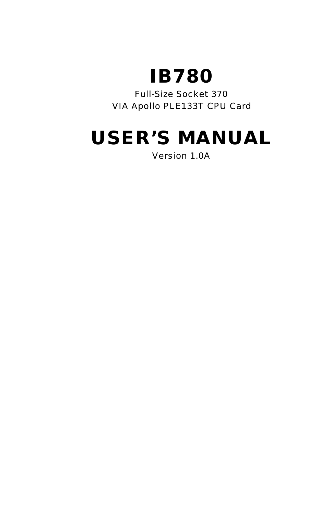# **IB780**

Full-Size Socket 370 VIA Apollo PLE133T CPU Card

# **USER'S MANUAL**

Version 1.0A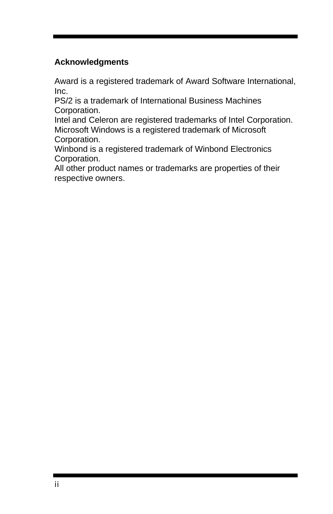# **Acknowledgments**

Award is a registered trademark of Award Software International, Inc.

PS/2 is a trademark of International Business Machines Corporation.

Intel and Celeron are registered trademarks of Intel Corporation. Microsoft Windows is a registered trademark of Microsoft Corporation.

Winbond is a registered trademark of Winbond Electronics Corporation.

All other product names or trademarks are properties of their respective owners.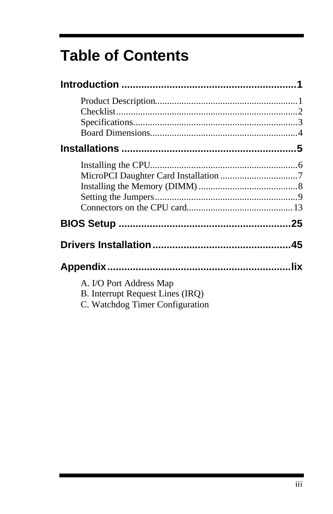# **Table of Contents**

| A. I/O Port Address Map          |  |
|----------------------------------|--|
| B. Interrupt Request Lines (IRQ) |  |
| C. Watchdog Timer Configuration  |  |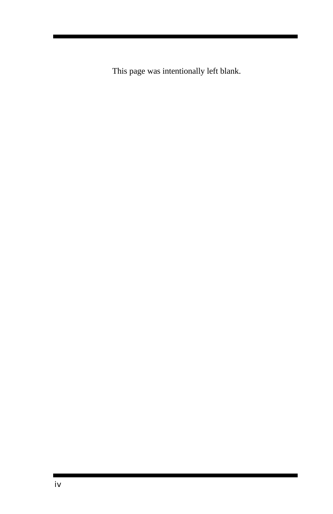This page was intentionally left blank.

۰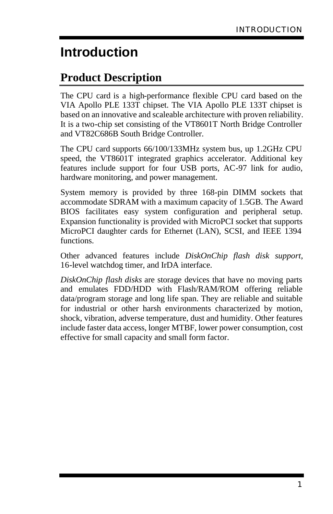# **Introduction**

# **Product Description**

The CPU card is a high-performance flexible CPU card based on the VIA Apollo PLE 133T chipset. The VIA Apollo PLE 133T chipset is based on an innovative and scaleable architecture with proven reliability. It is a two-chip set consisting of the VT8601T North Bridge Controller and VT82C686B South Bridge Controller.

The CPU card supports 66/100/133MHz system bus, up 1.2GHz CPU speed, the VT8601T integrated graphics accelerator. Additional key features include support for four USB ports, AC-97 link for audio, hardware monitoring, and power management.

System memory is provided by three 168-pin DIMM sockets that accommodate SDRAM with a maximum capacity of 1.5GB. The Award BIOS facilitates easy system configuration and peripheral setup. Expansion functionality is provided with MicroPCI socket that supports MicroPCI daughter cards for Ethernet (LAN), SCSI, and IEEE 1394 functions.

Other advanced features include *DiskOnChip flash disk support*, 16-level watchdog timer, and IrDA interface.

*DiskOnChip flash disks* are storage devices that have no moving parts and emulates FDD/HDD with Flash/RAM/ROM offering reliable data/program storage and long life span. They are reliable and suitable for industrial or other harsh environments characterized by motion, shock, vibration, adverse temperature, dust and humidity. Other features include faster data access, longer MTBF, lower power consumption, cost effective for small capacity and small form factor.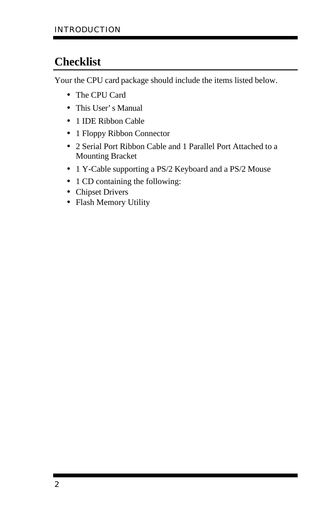# **Checklist**

Your the CPU card package should include the items listed below.

- **·** The CPU Card
- **·** This User's Manual
- **·** 1 IDE Ribbon Cable
- **·** 1 Floppy Ribbon Connector
- **·** 2 Serial Port Ribbon Cable and 1 Parallel Port Attached to a Mounting Bracket
- **·** 1 Y-Cable supporting a PS/2 Keyboard and a PS/2 Mouse
- **·** 1 CD containing the following:
- **·** Chipset Drivers
- **·** Flash Memory Utility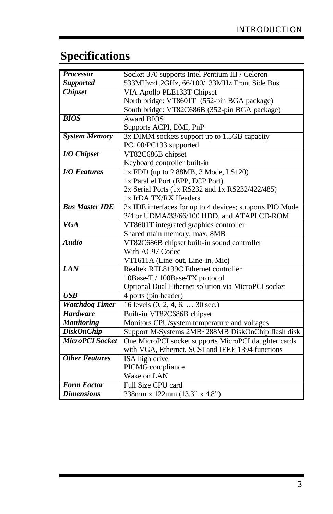# **Specifications**

| <b>Processor</b>       | Socket 370 supports Intel Pentium III / Celeron          |  |  |
|------------------------|----------------------------------------------------------|--|--|
| <b>Supported</b>       | 533MHz~1.2GHz, 66/100/133MHz Front Side Bus              |  |  |
| <b>Chipset</b>         | VIA Apollo PLE133T Chipset                               |  |  |
|                        | North bridge: VT8601T (552-pin BGA package)              |  |  |
|                        | South bridge: VT82C686B (352-pin BGA package)            |  |  |
| <b>BIOS</b>            | <b>Award BIOS</b>                                        |  |  |
|                        | Supports ACPI, DMI, PnP                                  |  |  |
| <b>System Memory</b>   | 3x DIMM sockets support up to 1.5GB capacity             |  |  |
|                        | PC100/PC133 supported                                    |  |  |
| <b>I/O</b> Chipset     | VT82C686B chipset                                        |  |  |
|                        | Keyboard controller built-in                             |  |  |
| <b>I/O</b> Features    | 1x FDD (up to 2.88MB, 3 Mode, LS120)                     |  |  |
|                        | 1x Parallel Port (EPP, ECP Port)                         |  |  |
|                        | 2x Serial Ports (1x RS232 and 1x RS232/422/485)          |  |  |
|                        | 1x IrDA TX/RX Headers                                    |  |  |
| <b>Bus Master IDE</b>  | 2x IDE interfaces for up to 4 devices; supports PIO Mode |  |  |
|                        | 3/4 or UDMA/33/66/100 HDD, and ATAPI CD-ROM              |  |  |
| $\overline{VGA}$       | VT8601T integrated graphics controller                   |  |  |
|                        | Shared main memory; max. 8MB                             |  |  |
| <b>Audio</b>           | VT82C686B chipset built-in sound controller              |  |  |
|                        | With AC97 Codec                                          |  |  |
|                        | VT1611A (Line-out, Line-in, Mic)                         |  |  |
| LAN                    | Realtek RTL8139C Ethernet controller                     |  |  |
|                        | 10Base-T / 100Base-TX protocol                           |  |  |
|                        | Optional Dual Ethernet solution via MicroPCI socket      |  |  |
| $\overline{USB}$       | 4 ports (pin header)                                     |  |  |
| <b>Watchdog Timer</b>  | 16 levels (0, 2, 4, 6,  30 sec.)                         |  |  |
| <b>Hardware</b>        | Built-in VT82C686B chipset                               |  |  |
| <b>Monitoring</b>      | Monitors CPU/system temperature and voltages             |  |  |
| <b>DiskOnChip</b>      | Support M-Systems 2MB~288MB DiskOnChip flash disk        |  |  |
| <b>MicroPCI</b> Socket | One MicroPCI socket supports MicroPCI daughter cards     |  |  |
|                        | with VGA, Ethernet, SCSI and IEEE 1394 functions         |  |  |
| <b>Other Features</b>  | ISA high drive                                           |  |  |
|                        | PICMG compliance                                         |  |  |
|                        | Wake on LAN                                              |  |  |
| <b>Form Factor</b>     | Full Size CPU card                                       |  |  |
| <b>Dimensions</b>      | 338mm x 122mm (13.3" x 4.8")                             |  |  |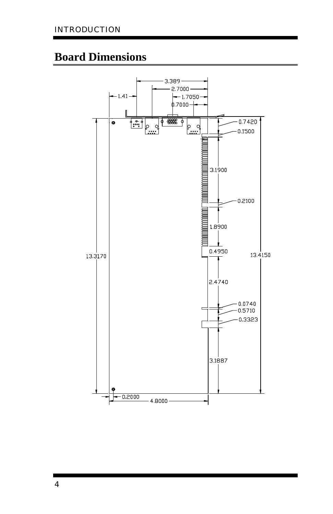# **Board Dimensions**

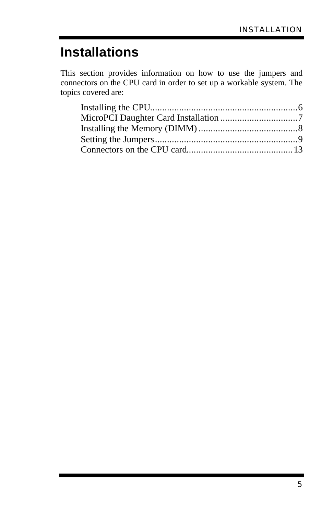# **Installations**

This section provides information on how to use the jumpers and connectors on the CPU card in order to set up a workable system. The topics covered are: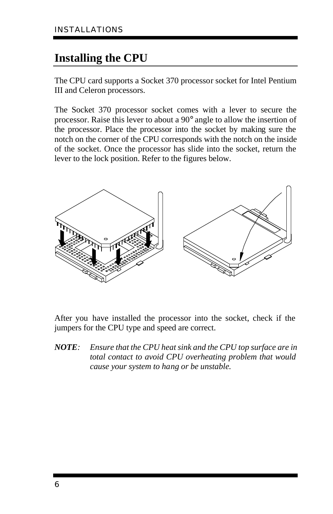# **Installing the CPU**

The CPU card supports a Socket 370 processor socket for Intel Pentium III and Celeron processors.

The Socket 370 processor socket comes with a lever to secure the processor. Raise this lever to about a 90° angle to allow the insertion of the processor. Place the processor into the socket by making sure the notch on the corner of the CPU corresponds with the notch on the inside of the socket. Once the processor has slide into the socket, return the lever to the lock position. Refer to the figures below.



After you have installed the processor into the socket, check if the jumpers for the CPU type and speed are correct.

*NOTE: Ensure that the CPU heat sink and the CPU top surface are in total contact to avoid CPU overheating problem that would cause your system to hang or be unstable.*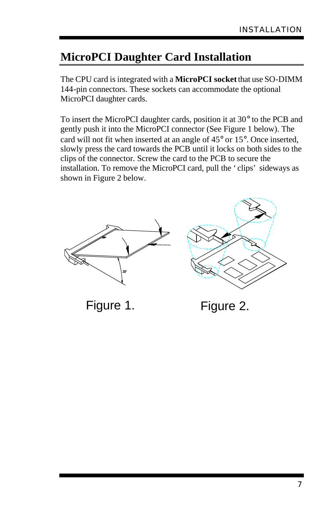# **MicroPCI Daughter Card Installation**

The CPU card is integrated with a **MicroPCI socket** that use SO-DIMM 144-pin connectors. These sockets can accommodate the optional MicroPCI daughter cards.

To insert the MicroPCI daughter cards, position it at 30° to the PCB and gently push it into the MicroPCI connector (See Figure 1 below). The card will not fit when inserted at an angle of 45° or 15°. Once inserted, slowly press the card towards the PCB until it locks on both sides to the clips of the connector. Screw the card to the PCB to secure the installation. To remove the MicroPCI card, pull the 'clips' sideways as shown in Figure 2 below.





Figure 1. Figure 2.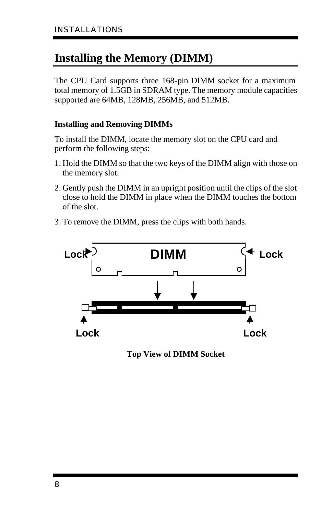# **Installing the Memory (DIMM)**

The CPU Card supports three 168-pin DIMM socket for a maximum total memory of 1.5GB in SDRAM type. The memory module capacities supported are 64MB, 128MB, 256MB, and 512MB.

#### **Installing and Removing DIMMs**

To install the DIMM, locate the memory slot on the CPU card and perform the following steps:

- 1. Hold the DIMM so that the two keys of the DIMM align with those on the memory slot.
- 2. Gently push the DIMM in an upright position until the clips of the slot close to hold the DIMM in place when the DIMM touches the bottom of the slot.
- 3. To remove the DIMM, press the clips with both hands.



**Top View of DIMM Socket**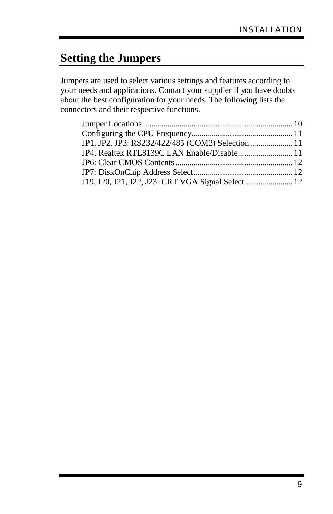# **Setting the Jumpers**

Jumpers are used to select various settings and features according to your needs and applications. Contact your supplier if you have doubts about the best configuration for your needs. The following lists the connectors and their respective functions.

| JP1, JP2, JP3: RS232/422/485 (COM2) Selection  11  |  |
|----------------------------------------------------|--|
| JP4: Realtek RTL8139C LAN Enable/Disable 11        |  |
|                                                    |  |
|                                                    |  |
| J19, J20, J21, J22, J23: CRT VGA Signal Select  12 |  |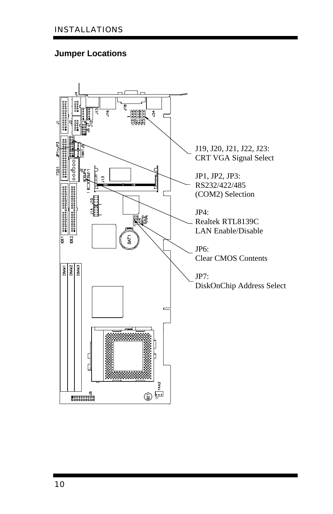# **Jumper Locations**

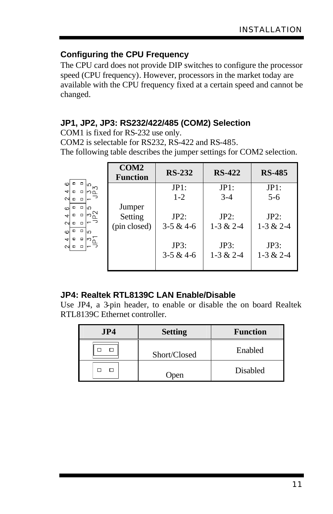# **Configuring the CPU Frequency**

The CPU card does not provide DIP switches to configure the processor speed (CPU frequency). However, processors in the market today are available with the CPU frequency fixed at a certain speed and cannot be changed.

# **JP1, JP2, JP3: RS232/422/485 (COM2) Selection**

COM1 is fixed for RS-232 use only.

COM2 is selectable for RS232, RS-422 and RS-485.

The following table describes the jumper settings for COM2 selection.

|                                                                                               | <b>COM2</b><br><b>Function</b>    | <b>RS-232</b>           | <b>RS-422</b>           | <b>RS-485</b>           |
|-----------------------------------------------------------------------------------------------|-----------------------------------|-------------------------|-------------------------|-------------------------|
| ۵l<br>о<br>ᆉ<br>$\Box$<br>α<br>ח ריו<br>$\sim$<br>D<br>α                                      |                                   | JPI:<br>$1 - 2$         | JPI:<br>$3 - 4$         | JPI:<br>$5-6$           |
| $\Box$<br>▫<br>lu D<br>ωl<br>$\Box$<br>о<br>$\overline{ }$<br>N<br>$\Box$<br>o<br>$\Box$<br>۵ | Jumper<br>Setting<br>(pin closed) | JP2:<br>$3 - 5 & 4 - 6$ | JP2:<br>$1 - 3 & 2 - 4$ | JP2:<br>$1 - 3 & 2 - 4$ |
| ∞<br>lm.<br>$\Box$<br>n<br>ᆔ<br>N<br>o<br>o                                                   |                                   | JP3:<br>$3 - 5 & 4 - 6$ | JP3:<br>$1-3 & 2-4$     | JP3:<br>$1 - 3 & 2 - 4$ |

# **JP4: Realtek RTL8139C LAN Enable/Disable**

Use JP4, a 3-pin header, to enable or disable the on board Realtek RTL8139C Ethernet controller.

| JP4 | <b>Setting</b> | <b>Function</b> |
|-----|----------------|-----------------|
|     | Short/Closed   | Enabled         |
|     | Jpen           | Disabled        |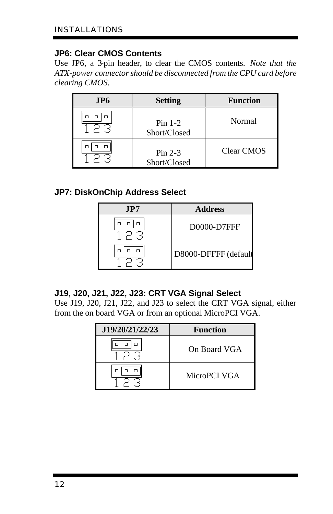# **JP6: Clear CMOS Contents**

Use JP6, a 3-pin header, to clear the CMOS contents. *Note that the ATX-power connector should be disconnected from the CPU card before clearing CMOS.* 

| JP6    | <b>Setting</b>            | <b>Function</b> |
|--------|---------------------------|-----------------|
| п<br>п | Pin $1-2$<br>Short/Closed | Normal          |
|        | $Pin 2-3$<br>Short/Closed | Clear CMOS      |

# **JP7: DiskOnChip Address Select**

| JP7 | <b>Address</b>       |
|-----|----------------------|
| п   | D0000-D7FFF          |
|     | D8000-DFFFF (default |

# **J19, J20, J21, J22, J23: CRT VGA Signal Select**

Use J19, J20, J21, J22, and J23 to select the CRT VGA signal, either from the on board VGA or from an optional MicroPCI VGA.

| J19/20/21/22/23 | <b>Function</b> |
|-----------------|-----------------|
|                 | On Board VGA    |
|                 | MicroPCI VGA    |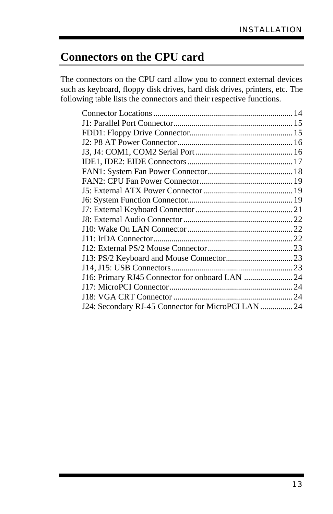# **Connectors on the CPU card**

The connectors on the CPU card allow you to connect external devices such as keyboard, floppy disk drives, hard disk drives, printers, etc. The following table lists the connectors and their respective functions.

| J16: Primary RJ45 Connector for onboard LAN  24     |  |
|-----------------------------------------------------|--|
|                                                     |  |
|                                                     |  |
| J24: Secondary RJ-45 Connector for MicroPCI LAN  24 |  |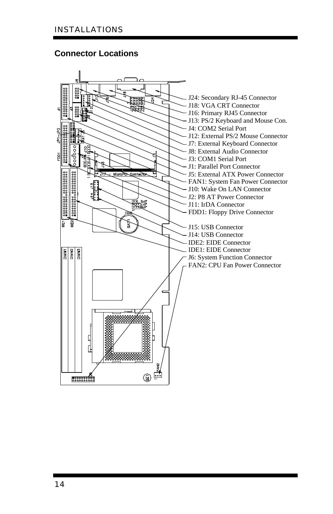# **Connector Locations**

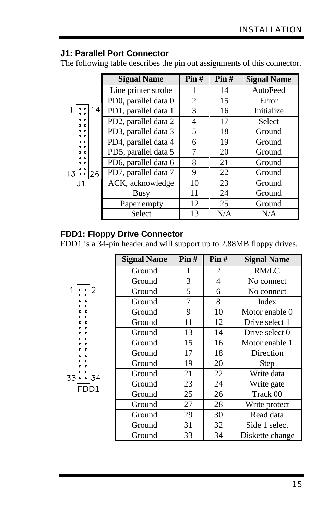#### **J1: Parallel Port Connector**

The following table describes the pin out assignments of this connector.

|                         | <b>Signal Name</b>   | Pin# | Pin# | <b>Signal Name</b> |
|-------------------------|----------------------|------|------|--------------------|
|                         | Line printer strobe  | 1    | 14   | AutoFeed           |
|                         | PD0, parallel data 0 | 2    | 15   | Error              |
| 4<br>ο<br>α             | PD1, parallel data 1 | 3    | 16   | Initialize         |
| o<br>o<br>$\Box$<br>n.  | PD2, parallel data 2 | 4    | 17   | Select             |
| $\Box$<br>п.<br>o<br>Ω. | PD3, parallel data 3 | 5    | 18   | Ground             |
| o<br>n<br>n.            | PD4, parallel data 4 | 6    | 19   | Ground             |
| $\Box$<br>Ω.<br>o<br>o  | PD5, parallel data 5 | 7    | 20   | Ground             |
| $\Box$                  | PD6, parallel data 6 | 8    | 21   | Ground             |
| n<br>п.<br>13<br>$-126$ | PD7, parallel data 7 | 9    | 22   | Ground             |
| .J1                     | ACK, acknowledge     | 10   | 23   | Ground             |
|                         | Busy                 | 11   | 24   | Ground             |
|                         | Paper empty          | 12   | 25   | Ground             |
|                         | Select               | 13   | N/A  | N/A                |

# **FDD1: Floppy Drive Connector**

FDD1 is a 34-pin header and will support up to 2.88MB floppy drives.

|                                                  | <b>Signal Name</b> | $\overline{\mathbf{Pin}}$ # | Pin# | <b>Signal Name</b> |
|--------------------------------------------------|--------------------|-----------------------------|------|--------------------|
|                                                  | Ground             | 1                           | 2    | <b>RM/LC</b>       |
|                                                  | Ground             | 3                           | 4    | No connect         |
| 2<br>$\Box$<br>$\Box$<br>$\Box$<br>$\Box$        | Ground             | 5                           | 6    | No connect         |
| p<br>$\Box$<br>$\Box$<br>п                       | Ground             | 7                           | 8    | Index              |
| $\Box$<br>$\Box$<br>$\Box$<br>о                  | Ground             | 9                           | 10   | Motor enable 0     |
| $\Box$<br>о                                      | Ground             | 11                          | 12   | Drive select 1     |
| $\Box$<br>$\Box$<br>$\Box$<br>$\Box$             | Ground             | 13                          | 14   | Drive select 0     |
| $\Box$<br>п<br>o<br>D                            | Ground             | 15                          | 16   | Motor enable 1     |
| $\mathbf{a}$<br>п<br>$\Box$<br>$\Box$            | Ground             | 17                          | 18   | Direction          |
| $\Box$<br>п<br>$\Box$<br>o                       | Ground             | 19                          | 20   | Step               |
| $\Box$<br>$\Box$<br>33<br>34<br>$\Box$<br>$\Box$ | Ground             | 21                          | 22   | Write data         |
| FDD1                                             | Ground             | 23                          | 24   | Write gate         |
|                                                  | Ground             | 25                          | 26   | Track 00           |
|                                                  | Ground             | 27                          | 28   | Write protect      |
|                                                  | Ground             | 29                          | 30   | Read data          |
|                                                  | Ground             | 31                          | 32   | Side 1 select      |
|                                                  | Ground             | 33                          | 34   | Diskette change    |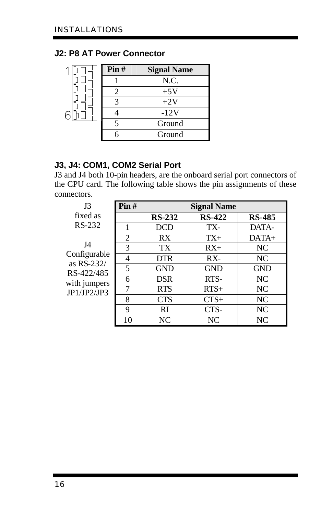# **J2: P8 AT Power Connector**

| Pin# | <b>Signal Name</b> |
|------|--------------------|
|      | N.C.               |
|      | $+5V$              |
|      | $+2V$              |
|      | $-12V$             |
|      | Ground             |
|      | Ground             |

# **J3, J4: COM1, COM2 Serial Port**

J3 and J4 both 10-pin headers, are the onboard serial port connectors of the CPU card. The following table shows the pin assignments of these connectors.

| J3                           | Pin# | <b>Signal Name</b> |               |               |  |  |  |
|------------------------------|------|--------------------|---------------|---------------|--|--|--|
| fixed as                     |      | <b>RS-232</b>      | <b>RS-422</b> | <b>RS-485</b> |  |  |  |
| RS-232                       |      | <b>DCD</b>         | TX-           | DATA-         |  |  |  |
|                              | 2    | RX                 | $TX+$         | $DATA+$       |  |  |  |
| J4                           | 3    | TX                 | $RX+$         | NC            |  |  |  |
| Configurable<br>as $RS-232/$ | 4    | <b>DTR</b>         | $RX-$         | NC            |  |  |  |
| RS-422/485                   | 5    | <b>GND</b>         | <b>GND</b>    | <b>GND</b>    |  |  |  |
| with jumpers                 | 6    | <b>DSR</b>         | RTS-          | NC            |  |  |  |
| JP1/JP2/JP3                  | 7    | <b>RTS</b>         | $RTS+$        | NC            |  |  |  |
|                              | 8    | <b>CTS</b>         | $CTS+$        | NC            |  |  |  |
|                              | 9    | RI                 | CTS-          | NC            |  |  |  |
|                              | 10   | NC                 | NC            | NC            |  |  |  |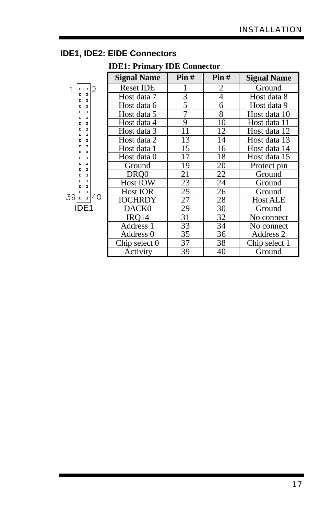# **IDE1, IDE2: EIDE Connectors**

# **IDE1: Primary IDE Connector**

|                                    | <b>Signal Name</b> | $\text{Pin}\,\text{\#}$ | $\text{Pin }#$  | <b>Signal Name</b> |
|------------------------------------|--------------------|-------------------------|-----------------|--------------------|
| 2<br>$\Box$<br>$\Box$              | <b>Reset IDE</b>   | 1                       | 2               | Ground             |
| $\overline{a}$<br>Ω<br>$\Box$<br>п | Host data 7        | 3                       | $\overline{4}$  | Host data 8        |
| Ω<br>$\Box$                        | Host data 6        | $\overline{5}$          | 6               | Host data 9        |
| Ω<br>п<br>α<br>$\Box$              | Host data 5        | 7                       | 8               | Host data 10       |
| $\Box$<br>п                        | Host data 4        | 9                       | 10              | Host data 11       |
| O<br>п<br>۵<br>$\Box$              | Host data 3        | 11                      | 12              | Host data 12       |
| α<br>о                             | Host data 2        | 13                      | 14              | Host data 13       |
| α<br>$\Box$<br>$\Box$<br>α         | Host data 1        | $\overline{15}$         | 16              | Host data 14       |
| α<br>Ω                             | Host data 0        | 17                      | 18              | Host data 15       |
| α<br>Ω<br>π<br>п                   | Ground             | 19                      | $\overline{20}$ | Protect pin        |
| o<br>Ω                             | DRO <sub>0</sub>   | 21                      | $\overline{22}$ | Ground             |
| α<br>п<br>۵<br>D                   | <b>Host IOW</b>    | 23                      | 24              | Ground             |
| $\Box$<br>$\Box$                   | Host IOR           | 25                      | 26              | Ground             |
| 39<br>40<br>$\Box$<br>$\Box$       | <b>IOCHRDY</b>     | 27                      | 28              | <b>Host ALE</b>    |
| IDE1                               | DACK0              | 29                      | 30              | Ground             |
|                                    | IRO <sub>14</sub>  | 31                      | 32              | No connect         |
|                                    | Address 1          | 33                      | 34              | No connect         |
|                                    | Address 0          | 35                      | 36              | Address 2          |
|                                    | Chip select 0      | 37                      | 38              | Chip select 1      |
|                                    | Activity           | 39                      | 40              | Ground             |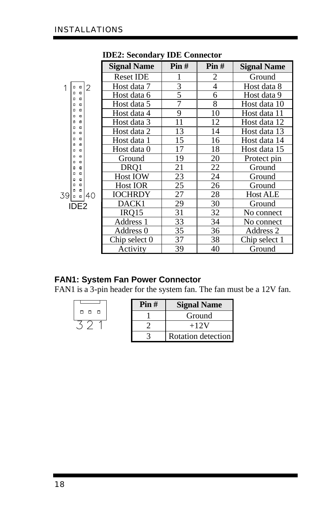|                                                                              | <b>Signal Name</b> | $\text{Pin}\,\text{\#}$ | $\text{Pin}\,\text{\#}$ | <b>Signal Name</b> |
|------------------------------------------------------------------------------|--------------------|-------------------------|-------------------------|--------------------|
|                                                                              | <b>Reset IDE</b>   |                         | 2                       | Ground             |
| 2<br>$\Box$<br>۵                                                             | Host data 7        | $\overline{3}$          | 4                       | Host data 8        |
| o<br>o<br>$\Box$<br>۵                                                        | Host data 6        | $\overline{5}$          | 6                       | Host data 9        |
| $\Box$<br>o                                                                  | Host data 5        | 7                       | 8                       | Host data 10       |
| $\Box$<br>۵<br>$\Box$<br>۰                                                   | Host data 4        | 9                       | 10                      | Host data 11       |
| $\Box$<br>۵                                                                  | Host data 3        | 11                      | 12                      | Host data 12       |
| $\Box$<br>۵<br>$\Box$<br>۰                                                   | Host data 2        | 13                      | 14                      | Host data 13       |
| o<br>۵<br>$\Box$<br>٠                                                        | Host data 1        | 15                      | 16                      | Host data 14       |
| $\Box$<br>۰                                                                  | Host data 0        | 17                      | 18                      | Host data 15       |
| $\Box$<br>۰<br>$\Box$<br>۰                                                   | Ground             | 19                      | 20                      | Protect pin        |
| $\Box$<br>۵                                                                  | DRO1               | 21                      | 22                      | Ground             |
| o<br>o<br>$\Box$<br>۵                                                        | <b>Host IOW</b>    | 23                      | 24                      | Ground             |
| $\Box$<br>۵                                                                  | <b>Host IOR</b>    | 25                      | 26                      | Ground             |
| $\Box$<br>$\Box$<br>39 <br>40<br>$\begin{array}{cc} \Box & \Box \end{array}$ | <b>IOCHRDY</b>     | 27                      | 28                      | <b>Host ALE</b>    |
| IDE <sub>2</sub>                                                             | DACK1              | 29                      | 30                      | Ground             |
|                                                                              | IRQ15              | 31                      | 32                      | No connect         |
|                                                                              | Address 1          | 33                      | 34                      | No connect         |
|                                                                              | Address 0          | 35                      | 36                      | Address 2          |
|                                                                              | Chip select 0      | 37                      | 38                      | Chip select 1      |
|                                                                              | Activity           | 39                      | 40                      | Ground             |

#### **IDE2: Secondary IDE Connector**

## **FAN1: System Fan Power Connector**

FAN1 is a 3-pin header for the system fan. The fan must be a 12V fan.

**<u>Signal Name</u> Ground**  $+12V$ 3 Rotation detection

|                                                       | Pin# |
|-------------------------------------------------------|------|
| $\begin{array}{ccc}\n\Box & \Box & \Box\n\end{array}$ |      |
|                                                       |      |
|                                                       |      |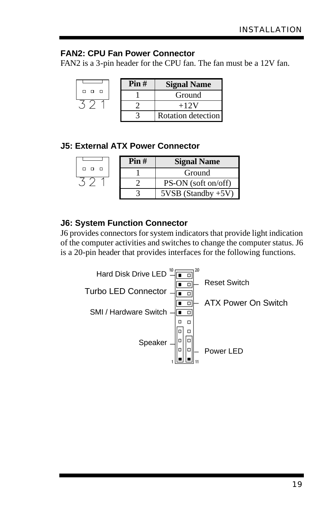# **FAN2: CPU Fan Power Connector**

FAN2 is a 3-pin header for the CPU fan. The fan must be a 12V fan.

| Pin# | <b>Signal Name</b> |
|------|--------------------|
|      | Ground             |
|      | $+12V$             |
|      | Rotation detection |

# **J5: External ATX Power Connector**

| Pin# | <b>Signal Name</b>   |
|------|----------------------|
|      | Ground               |
|      | PS-ON (soft on/off)  |
|      | $5VSB$ (Standby +5V) |

# **J6: System Function Connector**

J6 provides connectors for system indicators that provide light indication of the computer activities and switches to change the computer status. J6 is a 20-pin header that provides interfaces for the following functions.

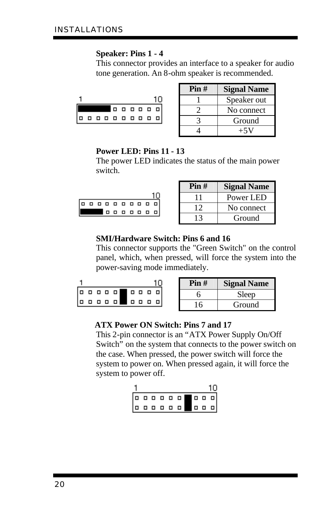#### **Speaker: Pins 1 - 4**

This connector provides an interface to a speaker for audio tone generation. An 8-ohm speaker is recommended.



| Pin# | <b>Signal Name</b> |
|------|--------------------|
|      | Speaker out        |
|      | No connect         |
|      | Ground             |
|      |                    |

#### **Power LED: Pins 11 - 13**

The power LED indicates the status of the main power switch.

|  |  |  |  | 0000000000 |  |
|--|--|--|--|------------|--|
|  |  |  |  | 0000000    |  |
|  |  |  |  |            |  |

| Pin# | <b>Signal Name</b> |
|------|--------------------|
| 11   | Power LED          |
| 12   | No connect         |
|      | Ground             |

#### **SMI/Hardware Switch: Pins 6 and 16**

This connector supports the "Green Switch" on the control panel, which, when pressed, will force the system into the power-saving mode immediately.

|  |  |  |  | 10 |
|--|--|--|--|----|
|  |  |  |  |    |
|  |  |  |  |    |

| Pin# | <b>Signal Name</b> |
|------|--------------------|
| h    | Sleep              |
| -6   | Ground             |

#### **ATX Power ON Switch: Pins 7 and 17**

This 2-pin connector is an "ATX Power Supply On/Off Switch" on the system that connects to the power switch on the case. When pressed, the power switch will force the system to power on. When pressed again, it will force the system to power off.

|  |  |                         |  | 10 |
|--|--|-------------------------|--|----|
|  |  | $[0 0 0 0 0 0 0 0 0 0]$ |  |    |
|  |  |                         |  |    |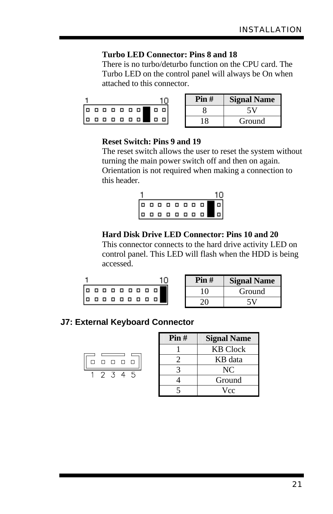#### **Turbo LED Connector: Pins 8 and 18**

There is no turbo/deturbo function on the CPU card. The Turbo LED on the control panel will always be On when attached to this connector.

|  |  |  | 0000000000 |  |
|--|--|--|------------|--|
|  |  |  |            |  |
|  |  |  |            |  |

| Pin# | <b>Signal Name</b> |
|------|--------------------|
|      |                    |
| 18   | Ground             |

#### **Reset Switch: Pins 9 and 19**

The reset switch allows the user to reset the system without turning the main power switch off and then on again. Orientation is not required when making a connection to this header.

|  |  |  |            | 10 |
|--|--|--|------------|----|
|  |  |  |            |    |
|  |  |  | 0000000000 |    |

#### **Hard Disk Drive LED Connector: Pins 10 and 20**

This connector connects to the hard drive activity LED on control panel. This LED will flash when the HDD is being accessed.

| 10000000000 |  |  |  |  |  |
|-------------|--|--|--|--|--|
|             |  |  |  |  |  |

| Pin# | <b>Signal Name</b> |
|------|--------------------|
| 10   | Ground             |
|      |                    |

## **J7: External Keyboard Connector**

|        |        | <b>Contract</b> |   |  |
|--------|--------|-----------------|---|--|
| $\Box$ | $\sim$ |                 | П |  |
|        | 23     |                 | b |  |

| Pin# | <b>Signal Name</b> |
|------|--------------------|
|      | <b>KB</b> Clock    |
|      | KB data            |
|      | NC                 |
|      | Ground             |
|      | Vcc                |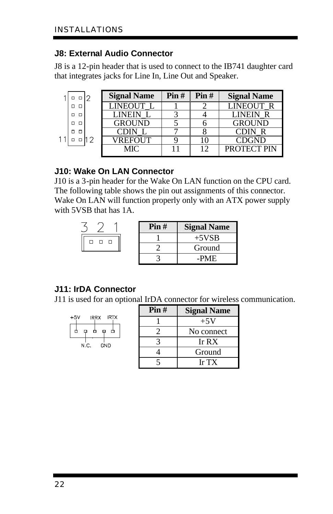# **J8: External Audio Connector**

J8 is a 12-pin header that is used to connect to the IB741 daughter card that integrates jacks for Line In, Line Out and Speaker.

| □<br>Ω      | <b>Signal Name</b> | $\text{Pin}\#$ | Pin# | <b>Signal Name</b> |
|-------------|--------------------|----------------|------|--------------------|
| п<br>п      | LINEOUT            |                |      | <b>LINEOUT R</b>   |
| n<br>п      | 'ANEIL             |                |      | <b>LINEIP</b>      |
| п<br>п      | <b>GROUND</b>      |                |      | <b>GROUND</b>      |
| $\Box$<br>п |                    |                |      | CDIN R             |
| п           | <b>/REFOUT</b>     |                |      | <b>CDGND</b>       |
|             | <b>MIC</b>         |                |      | PROTECT PIN        |

# **J10: Wake On LAN Connector**

J10 is a 3-pin header for the Wake On LAN function on the CPU card. The following table shows the pin out assignments of this connector. Wake On LAN will function properly only with an ATX power supply with 5VSB that has 1A.

| $\textbf{Pin} \#$ | <b>Signal Name</b> |
|-------------------|--------------------|
|                   | $+5VSB$            |
|                   | Ground             |
|                   | -PME               |

# **J11: IrDA Connector**

J11 is used for an optional IrDA connector for wireless communication.

| $+5V$ |      | <b>IRRX</b> |     | <b>IRTX</b> |  |
|-------|------|-------------|-----|-------------|--|
| 甴     | п    | 甴           |     | □           |  |
|       | N.C. |             | GND |             |  |

| Pin# | <b>Signal Name</b> |
|------|--------------------|
|      | $+5V$              |
|      | No connect         |
|      | Ir $RX$            |
|      | Ground             |
|      | Ir TX              |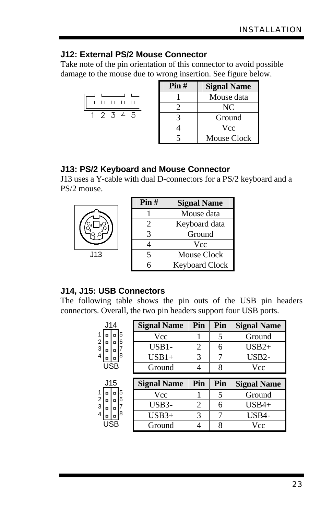# **J12: External PS/2 Mouse Connector**

Take note of the pin orientation of this connector to avoid possible damage to the mouse due to wrong insertion. See figure below.

| □ | □  | 0            | п | ┑ |  |
|---|----|--------------|---|---|--|
|   | 7. | $.5^{\circ}$ |   | 5 |  |

| Pin# | <b>Signal Name</b> |
|------|--------------------|
|      | Mouse data         |
|      | NC                 |
|      | Ground             |
|      | Vcc                |
|      | Mouse Clock        |

# **J13: PS/2 Keyboard and Mouse Connector**

J13 uses a Y-cable with dual D-connectors for a PS/2 keyboard and a PS/2 mouse.



|     | Pin# | <b>Signal Name</b>    |
|-----|------|-----------------------|
|     |      | Mouse data            |
| '6  |      | Keyboard data         |
|     |      | Ground                |
|     |      | Vcc                   |
| J13 |      | Mouse Clock           |
|     |      | <b>Keyboard Clock</b> |

## **J14, J15: USB Connectors**

The following table shows the pin outs of the USB pin headers connectors. Overall, the two pin headers support four USB ports.

| J14                             | <b>Signal Name</b> | Pin            | Pin | <b>Signal Name</b> |
|---------------------------------|--------------------|----------------|-----|--------------------|
| l5<br>o<br>o<br>o               | Vcc                |                | 5   | Ground             |
| $\frac{2}{3}$<br>o<br>o<br>o    | $USB1 -$           | 2              | 6   | $USB2+$            |
|                                 | $USB1+$            | 3              | 7   | USB <sub>2</sub> - |
| USB                             | Ground             | 4              | 8   | Vcc                |
|                                 |                    |                |     |                    |
|                                 |                    |                |     |                    |
| J15                             | <b>Signal Name</b> | Pin            | Pin | <b>Signal Name</b> |
| l5<br>l o<br>o                  | Vcc                |                | 5   | Ground             |
| 2<br>6<br>π<br>o<br>3<br>o<br>о | USB3-              | $\overline{2}$ | 6   | $USB4+$            |
| о<br>о                          | $USB3+$            | 3              | 7   | USB4-              |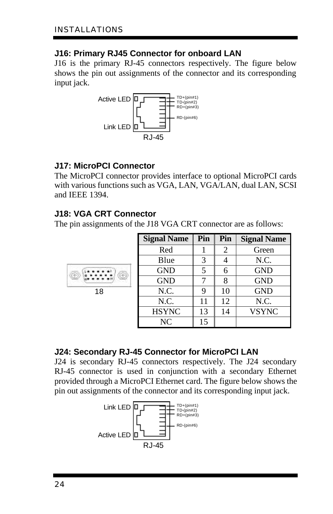# **J16: Primary RJ45 Connector for onboard LAN**

J16 is the primary RJ-45 connectors respectively. The figure below shows the pin out assignments of the connector and its corresponding input jack.



# **J17: MicroPCI Connector**

The MicroPCI connector provides interface to optional MicroPCI cards with various functions such as VGA, LAN, VGA/LAN, dual LAN, SCSI and IEEE 1394.

## **J18: VGA CRT Connector**

¢

The pin assignments of the J18 VGA CRT connector are as follows:

|    | <b>Signal Name</b> | $\text{Pin}$ | Pin | <b>Signal Name</b> |
|----|--------------------|--------------|-----|--------------------|
|    | Red                |              | 2   | Green              |
|    | Blue               | 3            |     | N.C.               |
|    | <b>GND</b>         | 5            | 6   | <b>GND</b>         |
|    | <b>GND</b>         |              | 8   | <b>GND</b>         |
| 18 | N.C.               | 9            | 10  | <b>GND</b>         |
|    | N.C.               | 11           | 12  | N.C.               |
|    | <b>HSYNC</b>       | 13           | 14  | <b>VSYNC</b>       |
|    | NC                 | 15           |     |                    |

# **J24: Secondary RJ-45 Connector for MicroPCI LAN**

J24 is secondary RJ-45 connectors respectively. The J24 secondary RJ-45 connector is used in conjunction with a secondary Ethernet provided through a MicroPCI Ethernet card. The figure below shows the pin out assignments of the connector and its corresponding input jack.

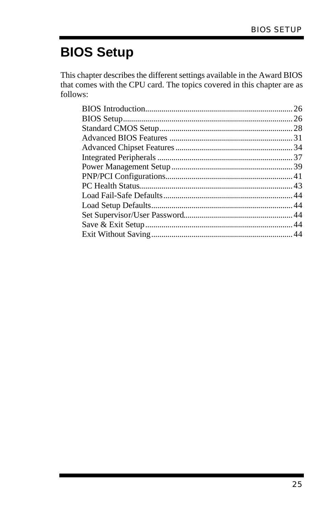# **BIOS Setup**

This chapter describes the different settings available in the Award BIOS that comes with the CPU card. The topics covered in this chapter are as follows: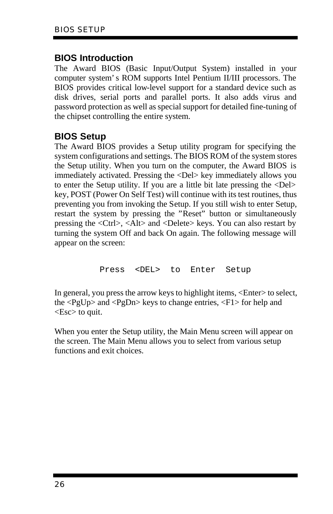# **BIOS Introduction**

The Award BIOS (Basic Input/Output System) installed in your computer system's ROM supports Intel Pentium II/III processors. The BIOS provides critical low-level support for a standard device such as disk drives, serial ports and parallel ports. It also adds virus and password protection as well as special support for detailed fine-tuning of the chipset controlling the entire system.

# **BIOS Setup**

The Award BIOS provides a Setup utility program for specifying the system configurations and settings. The BIOS ROM of the system stores the Setup utility. When you turn on the computer, the Award BIOS is immediately activated. Pressing the <Del> key immediately allows you to enter the Setup utility. If you are a little bit late pressing the <Del> key, POST (Power On Self Test) will continue with its test routines, thus preventing you from invoking the Setup. If you still wish to enter Setup, restart the system by pressing the "Reset" button or simultaneously pressing the <Ctrl>, <Alt> and <Delete> keys. You can also restart by turning the system Off and back On again. The following message will appear on the screen:

Press <DEL> to Enter Setup

In general, you press the arrow keys to highlight items, <Enter> to select, the <PgUp> and <PgDn> keys to change entries, <F1> for help and <Esc> to quit.

When you enter the Setup utility, the Main Menu screen will appear on the screen. The Main Menu allows you to select from various setup functions and exit choices.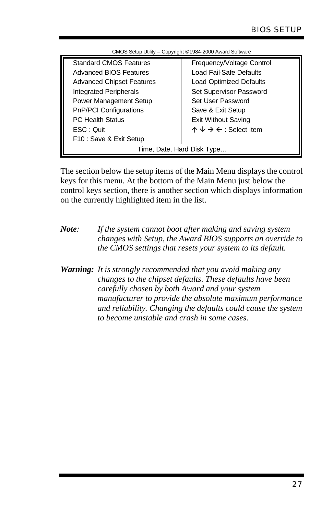| $C_{\text{NLOO}}$ detap builty $C_{\text{C}}$ copyright $C_{\text{NLOO}}$ and $C_{\text{NLOO}}$ and $C_{\text{NLOO}}$ |                                                      |  |
|-----------------------------------------------------------------------------------------------------------------------|------------------------------------------------------|--|
| <b>Standard CMOS Features</b>                                                                                         | Frequency/Voltage Control                            |  |
| Advanced BIOS Features                                                                                                | Load Fail Safe Defaults                              |  |
| <b>Advanced Chipset Features</b>                                                                                      | <b>Load Optimized Defaults</b>                       |  |
| <b>Integrated Peripherals</b>                                                                                         | Set Supervisor Password                              |  |
| Power Management Setup                                                                                                | Set User Password                                    |  |
| PnP/PCI Configurations                                                                                                | Save & Exit Setup                                    |  |
| <b>PC Health Status</b>                                                                                               | <b>Exit Without Saving</b>                           |  |
| ESC: Quit                                                                                                             | $\uparrow \psi \rightarrow \leftarrow$ : Select Item |  |
| F10 : Save & Exit Setup                                                                                               |                                                      |  |
| Time, Date, Hard Disk Type                                                                                            |                                                      |  |

CMOS Setup Utility – Copyright © 1984-2000 Award Software

The section below the setup items of the Main Menu displays the control keys for this menu. At the bottom of the Main Menu just below the control keys section, there is another section which displays information on the currently highlighted item in the list.

- *Note: If the system cannot boot after making and saving system changes with Setup, the Award BIOS supports an override to the CMOS settings that resets your system to its default.*
- *Warning: It is strongly recommended that you avoid making any changes to the chipset defaults. These defaults have been carefully chosen by both Award and your system manufacturer to provide the absolute maximum performance and reliability. Changing the defaults could cause the system to become unstable and crash in some cases.*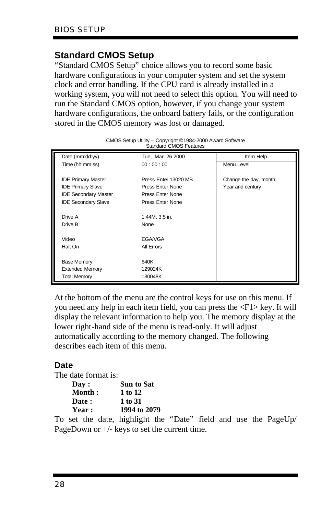# **Standard CMOS Setup**

"Standard CMOS Setup" choice allows you to record some basic hardware configurations in your computer system and set the system clock and error handling. If the CPU card is already installed in a working system, you will not need to select this option. You will need to run the Standard CMOS option, however, if you change your system hardware configurations, the onboard battery fails, or the configuration stored in the CMOS memory was lost or damaged.

| Date (mm:dd:yy)             | Tue, Mar 26 2000     | Item Help              |
|-----------------------------|----------------------|------------------------|
| Time (hh:mm:ss)             | 00:00:00             | Menu Level             |
|                             |                      |                        |
| <b>IDE Primary Master</b>   | Press Enter 13020 MB | Change the day, month, |
| <b>IDE Primary Slave</b>    | Press Enter None     | Year and century       |
| <b>IDE Secondary Master</b> | Press Enter None     |                        |
| <b>IDE Secondary Slave</b>  | Press Enter None     |                        |
|                             |                      |                        |
| Drive A                     | 1.44M, 3.5 in.       |                        |
| Drive B                     | None                 |                        |
|                             |                      |                        |
| Video                       | <b>EGANGA</b>        |                        |
| Halt On                     | All Errors           |                        |
|                             |                      |                        |
| <b>Base Memory</b>          | 640K                 |                        |
| <b>Extended Memory</b>      | 129024K              |                        |
| <b>Total Memory</b>         | 130048K              |                        |

| CMOS Setup Utility - Copyright ©1984-2000 Award Software |
|----------------------------------------------------------|
| <b>Standard CMOS Features</b>                            |

At the bottom of the menu are the control keys for use on this menu. If you need any help in each item field, you can press the <F1> key. It will display the relevant information to help you. The memory display at the lower right-hand side of the menu is read-only. It will adjust automatically according to the memory changed. The following describes each item of this menu.

## **Date**

The date format is:

| <b>Sun to Sat</b> |
|-------------------|
| 1 to 12           |
| 1 to 31           |
| 1994 to 2079      |
|                   |

To set the date, highlight the "Date" field and use the PageUp/ PageDown or +/- keys to set the current time.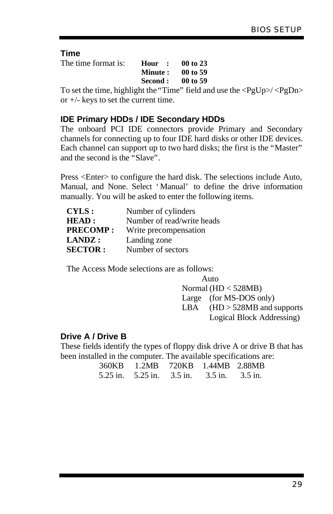## **Time**

| The time format is: | Hour :   | $00$ to 23 |
|---------------------|----------|------------|
|                     | Minute : | 00 to 59   |
|                     | Second : | $00$ to 59 |

To set the time, highlight the "Time" field and use the <PgUp>/ <PgDn> or +/- keys to set the current time.

# **IDE Primary HDDs / IDE Secondary HDDs**

The onboard PCI IDE connectors provide Primary and Secondary channels for connecting up to four IDE hard disks or other IDE devices. Each channel can support up to two hard disks; the first is the "Master" and the second is the "Slave".

Press <Enter> to configure the hard disk. The selections include Auto, Manual, and None. Select 'Manual' to define the drive information manually. You will be asked to enter the following items.

| CYLS:           | Number of cylinders        |
|-----------------|----------------------------|
| <b>HEAD</b> :   | Number of read/write heads |
| <b>PRECOMP:</b> | Write precompensation      |
| LANDZ:          | Landing zone               |
| <b>SECTOR:</b>  | Number of sectors          |

The Access Mode selections are as follows:

Auto Normal (HD < 528MB) Large (for MS-DOS only) LBA (HD > 528MB and supports) Logical Block Addressing)

## **Drive A / Drive B**

These fields identify the types of floppy disk drive A or drive B that has been installed in the computer. The available specifications are:

| 360KB                 | 1.2MB 720KB | 1.44MB 2.88MB |           |
|-----------------------|-------------|---------------|-----------|
| $5.25$ in. $5.25$ in. | $3.5$ in.   | $3.5$ in.     | $3.5$ in. |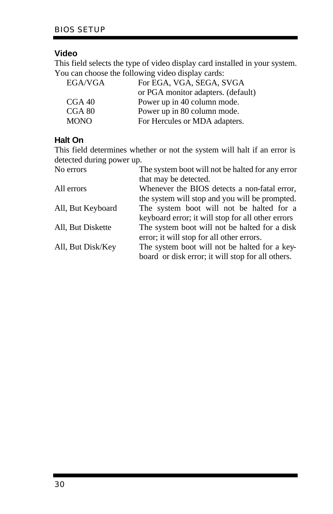# **Video**

This field selects the type of video display card installed in your system. You can choose the following video display cards:

| EGA/VGA     | For EGA, VGA, SEGA, SVGA           |  |
|-------------|------------------------------------|--|
|             | or PGA monitor adapters. (default) |  |
| CGA40       | Power up in 40 column mode.        |  |
| CGA 80      | Power up in 80 column mode.        |  |
| <b>MONO</b> | For Hercules or MDA adapters.      |  |

## **Halt On**

This field determines whether or not the system will halt if an error is detected during power up.

| No errors         | The system boot will not be halted for any error  |  |
|-------------------|---------------------------------------------------|--|
|                   | that may be detected.                             |  |
| All errors        | Whenever the BIOS detects a non-fatal error,      |  |
|                   | the system will stop and you will be prompted.    |  |
| All, But Keyboard | The system boot will not be halted for a          |  |
|                   | keyboard error; it will stop for all other errors |  |
| All, But Diskette | The system boot will not be halted for a disk     |  |
|                   | error; it will stop for all other errors.         |  |
| All, But Disk/Key | The system boot will not be halted for a key-     |  |
|                   | board or disk error; it will stop for all others. |  |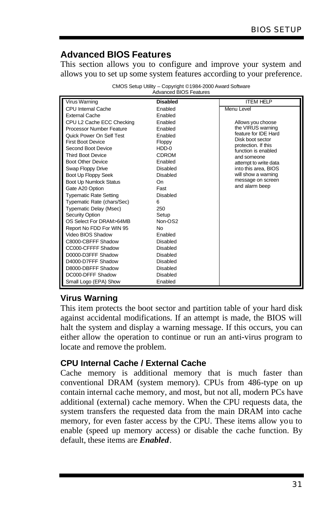# **Advanced BIOS Features**

This section allows you to configure and improve your system and allows you to set up some system features according to your preference.

| Virus Warning                 | <b>Disabled</b> | <b>ITEM HELP</b>                           |
|-------------------------------|-----------------|--------------------------------------------|
| CPU Internal Cache            | Enabled         | Menu Level                                 |
| <b>External Cache</b>         | Enabled         |                                            |
| CPU L2 Cache ECC Checking     | Enabled         | Allows you choose                          |
| Processor Number Feature      | Enabled         | the VIRUS warning                          |
| Quick Power On Self Test      | Enabled         | feature for IDE Hard                       |
| <b>First Boot Device</b>      | Floppy          | Disk boot sector                           |
| Second Boot Device            | $HDD-0$         | protection. If this<br>function is enabled |
| <b>Third Boot Device</b>      | CDROM           | and someone                                |
| <b>Boot Other Device</b>      | Enabled         | attempt to write data                      |
| Swap Floppy Drive             | Disabled        | into this area, BIOS                       |
| Boot Up Floppy Seek           | Disabled        | will show a warning                        |
| Boot Up Numlock Status        | On.             | message on screen                          |
| Gate A20 Option               | Fast            | and alarm beep                             |
| <b>Typematic Rate Setting</b> | Disabled        |                                            |
| Typematic Rate (chars/Sec)    | 6               |                                            |
| Typematic Delay (Msec)        | 250             |                                            |
| Security Option               | Setup           |                                            |
| OS Select For DRAM>64MB       | Non-OS2         |                                            |
| Report No FDD For WIN 95      | <b>No</b>       |                                            |
| Video BIOS Shadow             | Enabled         |                                            |
| C8000-CBFFF Shadow            | Disabled        |                                            |
| CC000-CFFFF Shadow            | Disabled        |                                            |
| D0000-D3FFF Shadow            | Disabled        |                                            |
| D4000-D7FFF Shadow            | Disabled        |                                            |
| D8000-DBFFF Shadow            | Disabled        |                                            |
| DC000-DFFF Shadow             | Disabled        |                                            |
| Small Logo (EPA) Show         | Enabled         |                                            |

CMOS Setup Utility – Copyright © 1984-2000 Award Software Advanced BIOS Features

# **Virus Warning**

This item protects the boot sector and partition table of your hard disk against accidental modifications. If an attempt is made, the BIOS will halt the system and display a warning message. If this occurs, you can either allow the operation to continue or run an anti-virus program to locate and remove the problem.

## **CPU Internal Cache / External Cache**

Cache memory is additional memory that is much faster than conventional DRAM (system memory). CPUs from 486-type on up contain internal cache memory, and most, but not all, modern PCs have additional (external) cache memory. When the CPU requests data, the system transfers the requested data from the main DRAM into cache memory, for even faster access by the CPU. These items allow you to enable (speed up memory access) or disable the cache function. By default, these items are *Enabled*.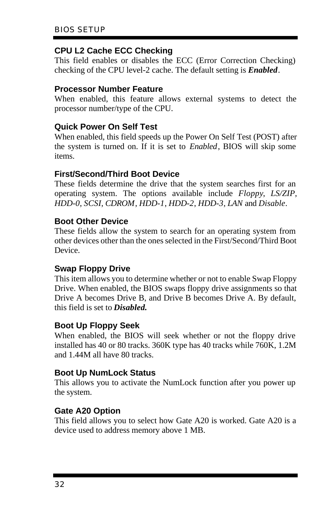# **CPU L2 Cache ECC Checking**

This field enables or disables the ECC (Error Correction Checking) checking of the CPU level-2 cache. The default setting is *Enabled*.

## **Processor Number Feature**

When enabled, this feature allows external systems to detect the processor number/type of the CPU.

# **Quick Power On Self Test**

When enabled, this field speeds up the Power On Self Test (POST) after the system is turned on. If it is set to *Enabled*, BIOS will skip some items.

## **First/Second/Third Boot Device**

These fields determine the drive that the system searches first for an operating system. The options available include *Floppy*, *LS/ZIP*, *HDD-0*, *SCSI*, *CDROM*, *HDD-1*, *HDD-2*, *HDD-3*, *LAN* and *Disable*.

## **Boot Other Device**

These fields allow the system to search for an operating system from other devices other than the ones selected in the First/Second/Third Boot Device.

# **Swap Floppy Drive**

This item allows you to determine whether or not to enable Swap Floppy Drive. When enabled, the BIOS swaps floppy drive assignments so that Drive A becomes Drive B, and Drive B becomes Drive A. By default, this field is set to *Disabled.*

## **Boot Up Floppy Seek**

When enabled, the BIOS will seek whether or not the floppy drive installed has 40 or 80 tracks. 360K type has 40 tracks while 760K, 1.2M and 1.44M all have 80 tracks.

## **Boot Up NumLock Status**

This allows you to activate the NumLock function after you power up the system.

# **Gate A20 Option**

This field allows you to select how Gate A20 is worked. Gate A20 is a device used to address memory above 1 MB.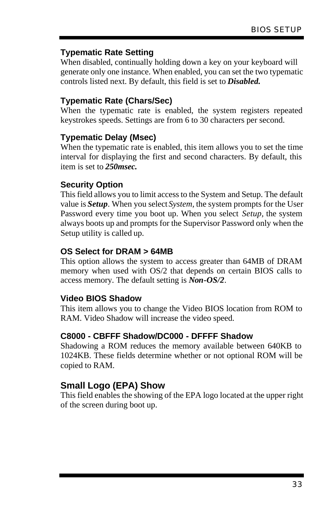## **Typematic Rate Setting**

When disabled, continually holding down a key on your keyboard will generate only one instance. When enabled, you can set the two typematic controls listed next. By default, this field is set to *Disabled.* 

# **Typematic Rate (Chars/Sec)**

When the typematic rate is enabled, the system registers repeated keystrokes speeds. Settings are from 6 to 30 characters per second.

## **Typematic Delay (Msec)**

When the typematic rate is enabled, this item allows you to set the time interval for displaying the first and second characters. By default, this item is set to *250msec.*

## **Security Option**

This field allows you to limit access to the System and Setup. The default value is *Setup*. When you select *System,* the system prompts for the User Password every time you boot up. When you select *Setup,* the system always boots up and prompts for the Supervisor Password only when the Setup utility is called up.

# **OS Select for DRAM > 64MB**

This option allows the system to access greater than 64MB of DRAM memory when used with OS/2 that depends on certain BIOS calls to access memory. The default setting is *Non-OS/2*.

## **Video BIOS Shadow**

This item allows you to change the Video BIOS location from ROM to RAM. Video Shadow will increase the video speed.

## **C8000 - CBFFF Shadow/DC000 - DFFFF Shadow**

Shadowing a ROM reduces the memory available between 640KB to 1024KB. These fields determine whether or not optional ROM will be copied to RAM.

# **Small Logo (EPA) Show**

This field enables the showing of the EPA logo located at the upper right of the screen during boot up.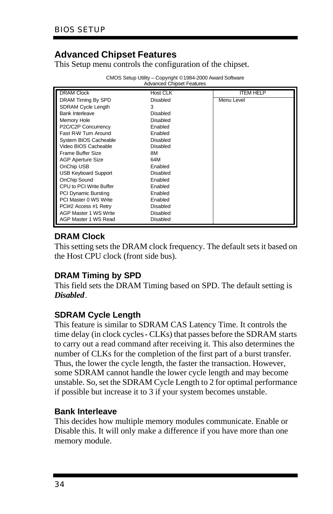# **Advanced Chipset Features**

This Setup menu controls the configuration of the chipset.

| <b>DRAM Clock</b>           | Host CLK        | <b>ITEM HELP</b> |
|-----------------------------|-----------------|------------------|
| DRAM Timing By SPD          | Disabled        | Menu Level       |
| <b>SDRAM Cycle Length</b>   | 3               |                  |
| Bank Interleave             | Disabled        |                  |
| Memory Hole                 | Disabled        |                  |
| P2C/C2P Concurrency         | Enabled         |                  |
| Fast R-W Turn Around        | Enabled         |                  |
| System BIOS Cacheable       | Disabled        |                  |
| Video BIOS Cacheable        | Disabled        |                  |
| Frame Buffer Size           | 8M              |                  |
| <b>AGP Aperture Size</b>    | 64M             |                  |
| OnChip USB                  | Enabled         |                  |
| <b>USB Keyboard Support</b> | Disabled        |                  |
| OnChip Sound                | Enabled         |                  |
| CPU to PCI Write Buffer     | Enabled         |                  |
| PCI Dynamic Bursting        | Enabled         |                  |
| PCI Master 0 WS Write       | Enabled         |                  |
| PCI#2 Access #1 Retry       | Disabled        |                  |
| AGP Master 1 WS Write       | Disabled        |                  |
| AGP Master 1 WS Read        | <b>Disabled</b> |                  |

CMOS Setup Utility – Copyright © 1984-2000 Award Software Advanced Chipset Features

# **DRAM Clock**

This setting sets the DRAM clock frequency. The default sets it based on the Host CPU clock (front side bus).

# **DRAM Timing by SPD**

This field sets the DRAM Timing based on SPD. The default setting is *Disabled*.

# **SDRAM Cycle Length**

This feature is similar to SDRAM CAS Latency Time. It controls the time delay (in clock cycles - CLKs) that passes before the SDRAM starts to carry out a read command after receiving it. This also determines the number of CLKs for the completion of the first part of a burst transfer. Thus, the lower the cycle length, the faster the transaction. However, some SDRAM cannot handle the lower cycle length and may become unstable. So, set the SDRAM Cycle Length to 2 for optimal performance if possible but increase it to 3 if your system becomes unstable.

## **Bank Interleave**

This decides how multiple memory modules communicate. Enable or Disable this. It will only make a difference if you have more than one memory module.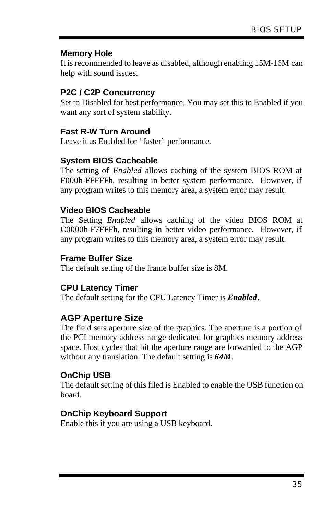#### **Memory Hole**

It is recommended to leave as disabled, although enabling 15M-16M can help with sound issues.

# **P2C / C2P Concurrency**

Set to Disabled for best performance. You may set this to Enabled if you want any sort of system stability.

#### **Fast R-W Turn Around**

Leave it as Enabled for 'faster' performance.

#### **System BIOS Cacheable**

The setting of *Enabled* allows caching of the system BIOS ROM at F000h-FFFFFh, resulting in better system performance. However, if any program writes to this memory area, a system error may result.

#### **Video BIOS Cacheable**

The Setting *Enabled* allows caching of the video BIOS ROM at C0000h-F7FFFh, resulting in better video performance. However, if any program writes to this memory area, a system error may result.

#### **Frame Buffer Size**

The default setting of the frame buffer size is 8M.

## **CPU Latency Timer**

The default setting for the CPU Latency Timer is *Enabled*.

# **AGP Aperture Size**

The field sets aperture size of the graphics. The aperture is a portion of the PCI memory address range dedicated for graphics memory address space. Host cycles that hit the aperture range are forwarded to the AGP without any translation. The default setting is *64M*.

## **OnChip USB**

The default setting of this filed is Enabled to enable the USB function on board.

## **OnChip Keyboard Support**

Enable this if you are using a USB keyboard.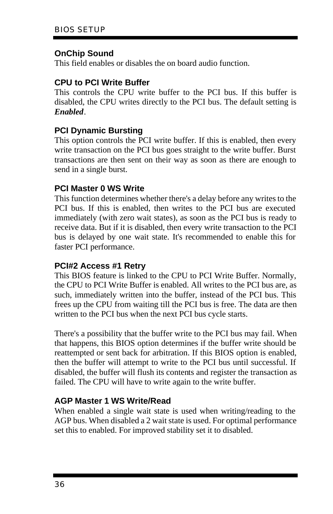# **OnChip Sound**

This field enables or disables the on board audio function.

# **CPU to PCI Write Buffer**

This controls the CPU write buffer to the PCI bus. If this buffer is disabled, the CPU writes directly to the PCI bus. The default setting is *Enabled*.

# **PCI Dynamic Bursting**

This option controls the PCI write buffer. If this is enabled, then every write transaction on the PCI bus goes straight to the write buffer. Burst transactions are then sent on their way as soon as there are enough to send in a single burst.

## **PCI Master 0 WS Write**

This function determines whether there's a delay before any writes to the PCI bus. If this is enabled, then writes to the PCI bus are executed immediately (with zero wait states), as soon as the PCI bus is ready to receive data. But if it is disabled, then every write transaction to the PCI bus is delayed by one wait state. It's recommended to enable this for faster PCI performance.

## **PCI#2 Access #1 Retry**

This BIOS feature is linked to the CPU to PCI Write Buffer. Normally, the CPU to PCI Write Buffer is enabled. All writes to the PCI bus are, as such, immediately written into the buffer, instead of the PCI bus. This frees up the CPU from waiting till the PCI bus is free. The data are then written to the PCI bus when the next PCI bus cycle starts.

There's a possibility that the buffer write to the PCI bus may fail. When that happens, this BIOS option determines if the buffer write should be reattempted or sent back for arbitration. If this BIOS option is enabled, then the buffer will attempt to write to the PCI bus until successful. If disabled, the buffer will flush its contents and register the transaction as failed. The CPU will have to write again to the write buffer.

## **AGP Master 1 WS Write/Read**

When enabled a single wait state is used when writing/reading to the AGP bus. When disabled a 2 wait state is used. For optimal performance set this to enabled. For improved stability set it to disabled.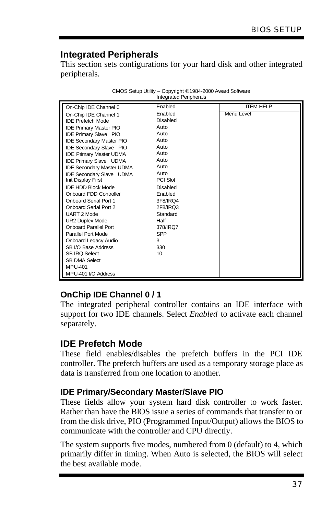# **Integrated Peripherals**

This section sets configurations for your hard disk and other integrated peripherals.

|                                  | <b>Integrated Peripherals</b> |                  |
|----------------------------------|-------------------------------|------------------|
| On-Chip IDE Channel 0            | Enabled                       | <b>ITEM HELP</b> |
| On-Chip IDE Channel 1            | Enabled                       | Menu Level       |
| <b>IDE Prefetch Mode</b>         | Disabled                      |                  |
| <b>IDE Primary Master PIO</b>    | Auto                          |                  |
| <b>IDE Primary Slave PIO</b>     | Auto                          |                  |
| <b>IDE Secondary Master PIO</b>  | Auto                          |                  |
| <b>IDE Secondary Slave PIO</b>   | Auto                          |                  |
| <b>IDE Primary Master UDMA</b>   | Auto                          |                  |
| <b>IDE Primary Slave UDMA</b>    | Auto                          |                  |
| <b>IDE Secondary Master UDMA</b> | Auto                          |                  |
| <b>IDE Secondary Slave UDMA</b>  | Auto                          |                  |
| Init Display First               | PCI Slot                      |                  |
| <b>IDE HDD Block Mode</b>        | Disabled                      |                  |
| Onboard FDD Controller           | Enabled                       |                  |
| <b>Onboard Serial Port 1</b>     | 3F8/IRQ4                      |                  |
| <b>Onboard Serial Port 2</b>     | 2F8/IRQ3                      |                  |
| <b>UART 2 Mode</b>               | Standard                      |                  |
| <b>UR2 Duplex Mode</b>           | Half                          |                  |
| <b>Onboard Parallel Port</b>     | 378/IRQ7                      |                  |
| Parallel Port Mode               | <b>SPP</b>                    |                  |
| Onboard Legacy Audio             | 3                             |                  |
| SB I/O Base Address              | 330                           |                  |
| <b>SB IRQ Select</b>             | 10                            |                  |
| <b>SB DMA Select</b>             |                               |                  |
| <b>MPU-401</b>                   |                               |                  |
| MPU-401 I/O Address              |                               |                  |

CMOS Setup Utility – Copyright © 1984-2000 Award Software

## **OnChip IDE Channel 0 / 1**

The integrated peripheral controller contains an IDE interface with support for two IDE channels. Select *Enabled* to activate each channel separately.

## **IDE Prefetch Mode**

These field enables/disables the prefetch buffers in the PCI IDE controller. The prefetch buffers are used as a temporary storage place as data is transferred from one location to another.

## **IDE Primary/Secondary Master/Slave PIO**

These fields allow your system hard disk controller to work faster. Rather than have the BIOS issue a series of commands that transfer to or from the disk drive, PIO (Programmed Input/Output) allows the BIOS to communicate with the controller and CPU directly.

The system supports five modes, numbered from 0 (default) to 4, which primarily differ in timing. When Auto is selected, the BIOS will select the best available mode.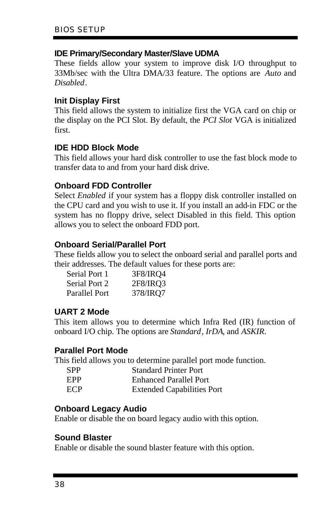#### **IDE Primary/Secondary Master/Slave UDMA**

These fields allow your system to improve disk I/O throughput to 33Mb/sec with the Ultra DMA/33 feature. The options are *Auto* and *Disabled*.

#### **Init Display First**

This field allows the system to initialize first the VGA card on chip or the display on the PCI Slot. By default, the *PCI Slot* VGA is initialized first.

#### **IDE HDD Block Mode**

This field allows your hard disk controller to use the fast block mode to transfer data to and from your hard disk drive.

#### **Onboard FDD Controller**

Select *Enabled* if your system has a floppy disk controller installed on the CPU card and you wish to use it. If you install an add-in FDC or the system has no floppy drive, select Disabled in this field. This option allows you to select the onboard FDD port.

#### **Onboard Serial/Parallel Port**

These fields allow you to select the onboard serial and parallel ports and their addresses. The default values for these ports are:

| Serial Port 1 | 3F8/IRO4 |
|---------------|----------|
| Serial Port 2 | 2F8/IRO3 |
| Parallel Port | 378/IRQ7 |

## **UART 2 Mode**

This item allows you to determine which Infra Red (IR) function of onboard I/O chip. The options are *Standard*, *IrDA*, and *ASKIR*.

## **Parallel Port Mode**

This field allows you to determine parallel port mode function.

- SPP Standard Printer Port
- EPP Enhanced Parallel Port
- ECP Extended Capabilities Port

## **Onboard Legacy Audio**

Enable or disable the on board legacy audio with this option.

## **Sound Blaster**

Enable or disable the sound blaster feature with this option.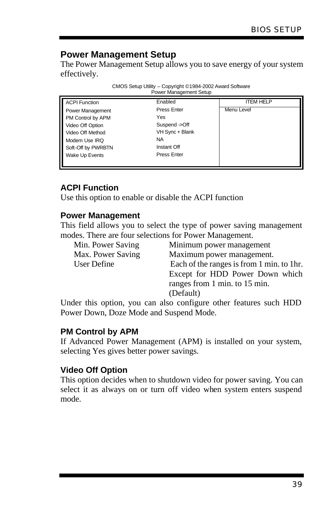# **Power Management Setup**

The Power Management Setup allows you to save energy of your system effectively.

| CMOS Setup Utility - Copyright ©1984-2002 Award Software |
|----------------------------------------------------------|
| Power Management Setup                                   |

| <b>ACPI Function</b> | Enabled            | <b>ITEM HELP</b> |
|----------------------|--------------------|------------------|
| Power Management     | <b>Press Enter</b> | Menu Level       |
| PM Control by APM    | Yes                |                  |
| Video Off Option     | Suspend ->Off      |                  |
| Video Off Method     | VH Sync + Blank    |                  |
| Modem Use IRQ        | <b>NA</b>          |                  |
| Soft-Off by PWRBTN   | Instant Off        |                  |
| Wake Up Events       | <b>Press Enter</b> |                  |
|                      |                    |                  |

# **ACPI Function**

Use this option to enable or disable the ACPI function

#### **Power Management**

This field allows you to select the type of power saving management modes. There are four selections for Power Management.

Min. Power Saving Minimum power management Max. Power Saving Maximum power management. User Define Each of the ranges is from 1 min. to 1hr. Except for HDD Power Down which ranges from 1 min. to 15 min. (Default)

Under this option, you can also configure other features such HDD Power Down, Doze Mode and Suspend Mode.

## **PM Control by APM**

If Advanced Power Management (APM) is installed on your system, selecting Yes gives better power savings.

## **Video Off Option**

This option decides when to shutdown video for power saving. You can select it as always on or turn off video when system enters suspend mode.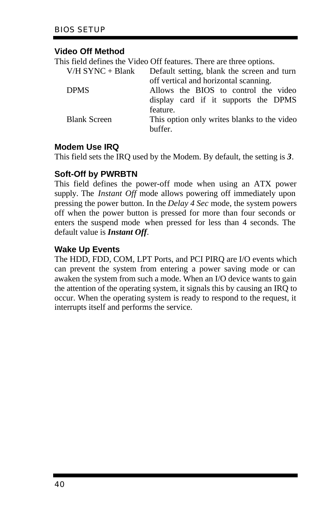#### **Video Off Method**

This field defines the Video Off features. There are three options. V/H SYNC + Blank Default setting, blank the screen and turn off vertical and horizontal scanning. DPMS Allows the BIOS to control the video display card if it supports the DPMS feature. Blank Screen This option only writes blanks to the video buffer.

# **Modem Use IRQ**

This field sets the IRQ used by the Modem. By default, the setting is *3*.

# **Soft-Off by PWRBTN**

This field defines the power-off mode when using an ATX power supply. The *Instant Off* mode allows powering off immediately upon pressing the power button. In the *Delay 4 Sec* mode, the system powers off when the power button is pressed for more than four seconds or enters the suspend mode when pressed for less than 4 seconds. The default value is *Instant Off*.

# **Wake Up Events**

The HDD, FDD, COM, LPT Ports, and PCI PIRQ are I/O events which can prevent the system from entering a power saving mode or can awaken the system from such a mode. When an I/O device wants to gain the attention of the operating system, it signals this by causing an IRQ to occur. When the operating system is ready to respond to the request, it interrupts itself and performs the service.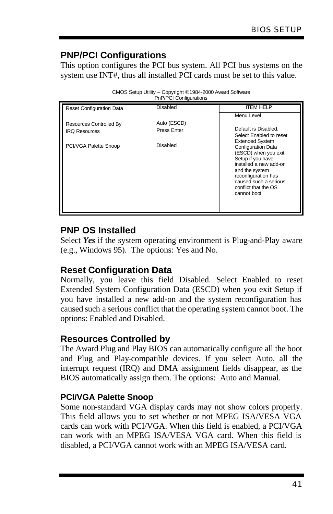# **PNP/PCI Configurations**

This option configures the PCI bus system. All PCI bus systems on the system use INT#, thus all installed PCI cards must be set to this value.

|                                 | Prip/Pul Coninguiations |                                                                                      |
|---------------------------------|-------------------------|--------------------------------------------------------------------------------------|
| <b>Reset Configuration Data</b> | <b>Disabled</b>         | <b>ITEM HELP</b>                                                                     |
|                                 |                         | Menu Level                                                                           |
| <b>Resources Controlled By</b>  | Auto (ESCD)             |                                                                                      |
| <b>IRO Resources</b>            | Press Enter             | Default is Disabled.<br>Select Enabled to reset                                      |
| PCI/VGA Palette Snoop           | Disabled                | <b>Extended System</b><br><b>Configuration Data</b><br>(ESCD) when you exit          |
|                                 |                         | Setup if you have<br>installed a new add-on<br>and the system<br>reconfiguration has |
|                                 |                         | caused such a serious<br>conflict that the OS<br>cannot boot                         |
|                                 |                         |                                                                                      |

| CMOS Setup Utility - Copyright ©1984-2000 Award Software |
|----------------------------------------------------------|
| <b>PnP/PCI Configurations</b>                            |

# **PNP OS Installed**

Select *Yes* if the system operating environment is Plug-and-Play aware (e.g., Windows 95). The options: Yes and No.

# **Reset Configuration Data**

Normally, you leave this field Disabled. Select Enabled to reset Extended System Configuration Data (ESCD) when you exit Setup if you have installed a new add-on and the system reconfiguration has caused such a serious conflict that the operating system cannot boot. The options: Enabled and Disabled.

# **Resources Controlled by**

The Award Plug and Play BIOS can automatically configure all the boot and Plug and Play-compatible devices. If you select Auto, all the interrupt request (IRQ) and DMA assignment fields disappear, as the BIOS automatically assign them. The options: Auto and Manual.

## **PCI/VGA Palette Snoop**

Some non-standard VGA display cards may not show colors properly. This field allows you to set whether or not MPEG ISA/VESA VGA cards can work with PCI/VGA. When this field is enabled, a PCI/VGA can work with an MPEG ISA/VESA VGA card. When this field is disabled, a PCI/VGA cannot work with an MPEG ISA/VESA card.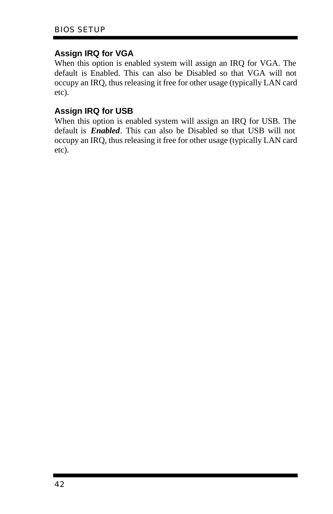# **Assign IRQ for VGA**

When this option is enabled system will assign an IRQ for VGA. The default is Enabled. This can also be Disabled so that VGA will not occupy an IRQ, thus releasing it free for other usage (typically LAN card etc).

## **Assign IRQ for USB**

When this option is enabled system will assign an IRQ for USB. The default is *Enabled*. This can also be Disabled so that USB will not occupy an IRQ, thus releasing it free for other usage (typically LAN card etc).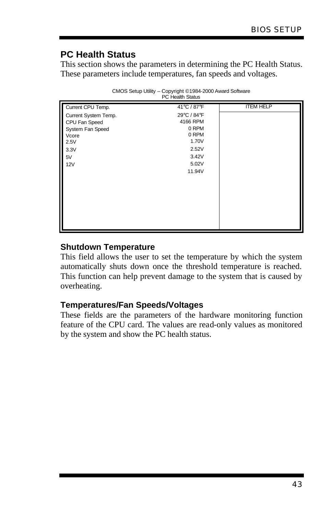# **PC Health Status**

This section shows the parameters in determining the PC Health Status. These parameters include temperatures, fan speeds and voltages.

| Current CPU Temp.    | 41°C / 87°F | <b>ITEM HELP</b> |
|----------------------|-------------|------------------|
| Current System Temp. | 29°C / 84°F |                  |
| CPU Fan Speed        | 4166 RPM    |                  |
| System Fan Speed     | 0 RPM       |                  |
| Vcore                | 0 RPM       |                  |
| 2.5V                 | 1.70V       |                  |
| 3.3V                 | 2.52V       |                  |
| 5V                   | 3.42V       |                  |
| 12V                  | 5.02V       |                  |
|                      | 11.94V      |                  |
|                      |             |                  |
|                      |             |                  |
|                      |             |                  |
|                      |             |                  |
|                      |             |                  |
|                      |             |                  |
|                      |             |                  |
|                      |             |                  |

#### **Shutdown Temperature**

This field allows the user to set the temperature by which the system automatically shuts down once the threshold temperature is reached. This function can help prevent damage to the system that is caused by overheating.

## **Temperatures/Fan Speeds/Voltages**

These fields are the parameters of the hardware monitoring function feature of the CPU card. The values are read-only values as monitored by the system and show the PC health status.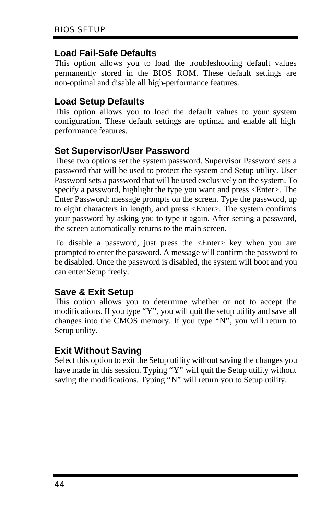# **Load Fail-Safe Defaults**

This option allows you to load the troubleshooting default values permanently stored in the BIOS ROM. These default settings are non-optimal and disable all high-performance features.

# **Load Setup Defaults**

This option allows you to load the default values to your system configuration. These default settings are optimal and enable all high performance features.

# **Set Supervisor/User Password**

These two options set the system password. Supervisor Password sets a password that will be used to protect the system and Setup utility. User Password sets a password that will be used exclusively on the system. To specify a password, highlight the type you want and press <Enter>. The Enter Password: message prompts on the screen. Type the password, up to eight characters in length, and press <Enter>. The system confirms your password by asking you to type it again. After setting a password, the screen automatically returns to the main screen.

To disable a password, just press the <Enter> key when you are prompted to enter the password. A message will confirm the password to be disabled. Once the password is disabled, the system will boot and you can enter Setup freely.

# **Save & Exit Setup**

This option allows you to determine whether or not to accept the modifications. If you type "Y", you will quit the setup utility and save all changes into the CMOS memory. If you type "N", you will return to Setup utility.

# **Exit Without Saving**

Select this option to exit the Setup utility without saving the changes you have made in this session. Typing "Y" will quit the Setup utility without saving the modifications. Typing "N" will return you to Setup utility.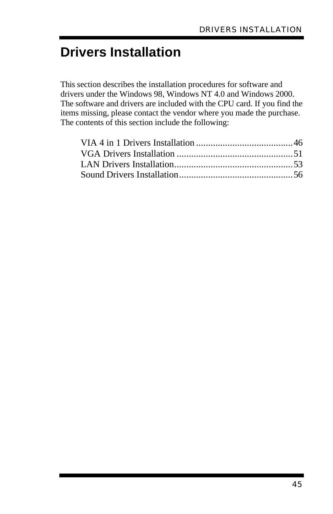# **Drivers Installation**

This section describes the installation procedures for software and drivers under the Windows 98, Windows NT 4.0 and Windows 2000. The software and drivers are included with the CPU card. If you find the items missing, please contact the vendor where you made the purchase. The contents of this section include the following: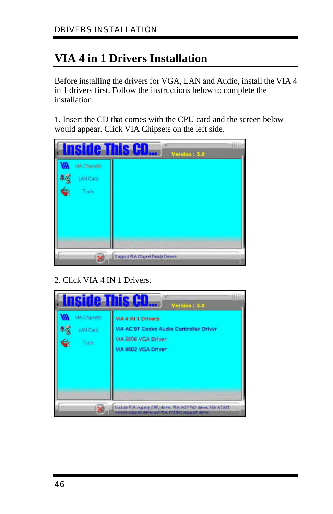# **VIA 4 in 1 Drivers Installation**

Before installing the drivers for VGA, LAN and Audio, install the VIA 4 in 1 drivers first. Follow the instructions below to complete the installation.

1. Insert the CD that comes with the CPU card and the screen below would appear. Click VIA Chipsets on the left side.

|          |                     | <b>nside This CD</b><br>Version: 5.0     |
|----------|---------------------|------------------------------------------|
| m        | <b>VIA Chipsets</b> |                                          |
| 95<br>Ÿ. | LAN Card<br>Tools   |                                          |
|          |                     |                                          |
|          |                     |                                          |
|          |                     |                                          |
|          |                     | <b>Bippon VLA Chavest Paraty Drivets</b> |

2. Click VIA 4 IN 1 Drivers.

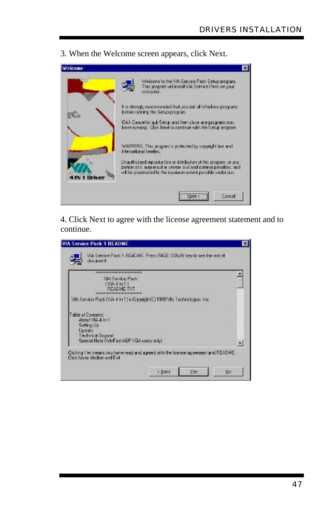3. When the Welcome screen appears, click Next.



4. Click Next to agree with the license agreement statement and to continue.

|                    | VIA Service Pack                   |                                                                           |  |
|--------------------|------------------------------------|---------------------------------------------------------------------------|--|
|                    | <b>EVIA 4 km 1  </b><br>README TXT |                                                                           |  |
|                    |                                    | VIA Service Pack (VIA 4 In 11 is Copyright) C11939 VIA Technologies, Inc. |  |
| Table of Contents: |                                    |                                                                           |  |
| Seiting Up         | About VIA 4 in 1                   |                                                                           |  |
| Update.            | Technical Support                  |                                                                           |  |
|                    |                                    | Special Note (WinFast AGP VISA users only)                                |  |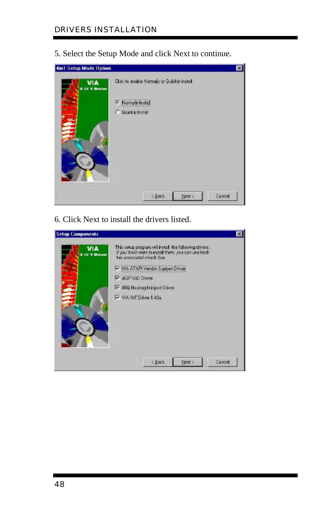5. Select the Setup Mode and click Next to continue.

| 4in1 Setup Mode Uption |                                            | 図      |
|------------------------|--------------------------------------------|--------|
| VIA<br><b>Driver</b>   | Click to enable Narmaly or Quickly install |        |
|                        | <b>6</b> Normaly Install                   |        |
|                        | C Guckly Install                           |        |
|                        |                                            |        |
|                        |                                            |        |
|                        |                                            |        |
|                        | Next a<br>+ Back                           | Eancel |

6. Click Next to install the drivers listed.

| <b>VIA</b><br>Driver | This setup program will install the following drivers.<br>If you don't want to install them, you can uncheck.<br>the associated check box. |  |
|----------------------|--------------------------------------------------------------------------------------------------------------------------------------------|--|
|                      | MA ATAPI Vendas Support Driver                                                                                                             |  |
|                      | <b>MAGP VIOLDIMAL</b>                                                                                                                      |  |
|                      | R JBQ Reuting Minipolt Driver                                                                                                              |  |
|                      | M. MA INFOriver 1.40a                                                                                                                      |  |
|                      | Next<br>Eancel<br><b>CHACK</b>                                                                                                             |  |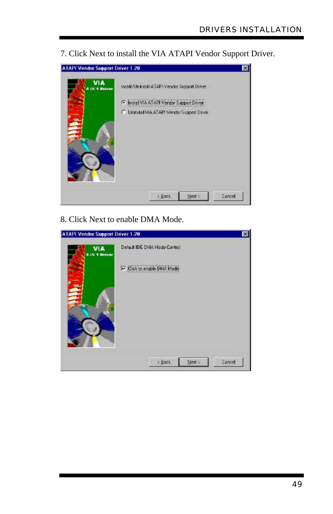7. Click Next to install the VIA ATAPI Vendor Support Driver.

| <b>ATAPI Vendor Support Driver 1.20</b> |                                                      | 囨      |
|-----------------------------------------|------------------------------------------------------|--------|
| VIA<br>Dirtwar                          | Install/Ministall ATAFI Vender Support Driver.       |        |
|                                         | <sup>6</sup> Install VIA ATAPI Vendor Support Driver |        |
|                                         | C. Unmstall MA ATAPI Vendor Support Driver           |        |
|                                         | <b>A BACK</b><br>Next.                               | Eancel |

8. Click Next to enable DMA Mode.

| Delauk IDE DMA Mode Control |                  |
|-----------------------------|------------------|
| M Click to enable DMA Mode  |                  |
|                             |                  |
|                             |                  |
|                             |                  |
|                             |                  |
|                             | + Eack<br>Next i |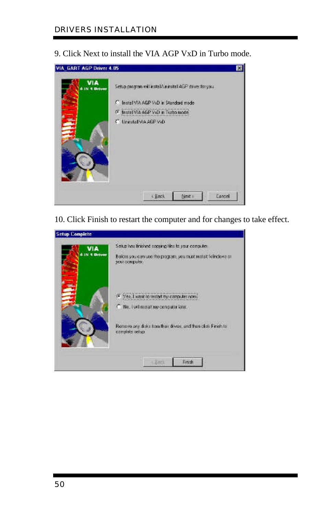9. Click Next to install the VIA AGP VxD in Turbo mode.

| VIA GART AGP Driver 4.05 |                                                          | 図      |
|--------------------------|----------------------------------------------------------|--------|
| <b>VIA</b><br>Driver     | Setup program will install/uninstall/AGP driver for your |        |
|                          | C. InstallVIA AGP ViD in Standard mode                   |        |
|                          | G. Instal VIA AGP VxD in Turbo mode                      |        |
|                          | C. Unrelativid AGP VeD                                   |        |
|                          | <b>A BACK</b><br>Next.                                   | Eancel |

10. Click Finish to restart the computer and for changes to take effect.

| <b>Setup Complete</b> |                                                                                   |
|-----------------------|-----------------------------------------------------------------------------------|
| <b>VIA</b>            | Setup has finished copying files to your computer.                                |
| <b>Driver</b>         | Beicre you can use the program, you must restalt Windows or<br>your computer.     |
|                       | (* 1766.) vant to restat my computer now.<br>Mo. Twill restart my computer later. |
|                       |                                                                                   |
|                       | Remove any disks from their drives, and then olick Finish to<br>complete setup.   |
|                       | Firesh<br><b>ATT</b>                                                              |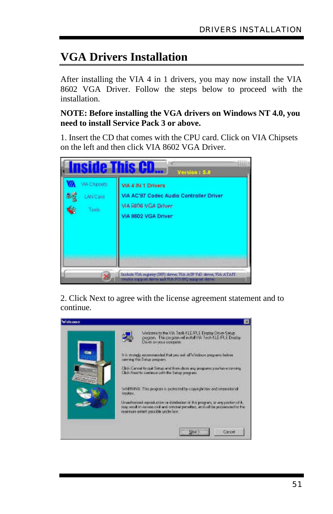# **VGA Drivers Installation**

After installing the VIA 4 in 1 drivers, you may now install the VIA 8602 VGA Driver. Follow the steps below to proceed with the installation.

**NOTE: Before installing the VGA drivers on Windows NT 4.0, you need to install Service Pack 3 or above.**

1. Insert the CD that comes with the CPU card. Click on VIA Chipsets on the left and then click VIA 8602 VGA Driver.



2. Click Next to agree with the license agreement statement and to continue.

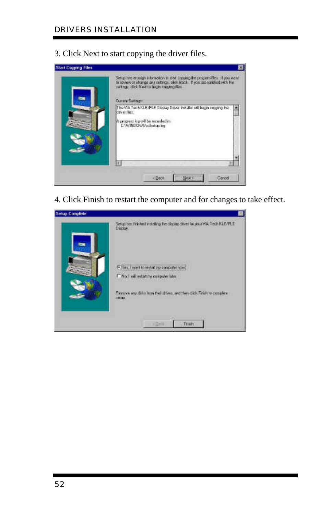3. Click Next to start copying the driver files.



4. Click Finish to restart the computer and for changes to take effect.

| <b>Setup Conglete</b> |                                                                                                                                  |
|-----------------------|----------------------------------------------------------------------------------------------------------------------------------|
|                       | Setup has finished installing the display drives for your VIA Tech KLE/PLE<br>Diplot.                                            |
|                       | 1. Next heart to restart my computer now.<br>Filia I will restarting computer later<br><b>WAS CITED FOR A REPORT OF A REPORT</b> |
|                       | Remove any data has their drives, and then click Finish to complete<br>1800                                                      |
|                       | <b>THIN'T</b><br>$+1604$                                                                                                         |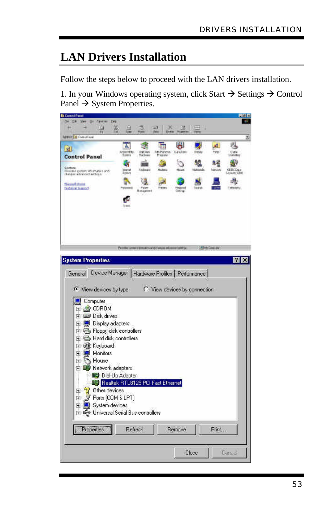# **LAN Drivers Installation**

Follow the steps below to proceed with the LAN drivers installation.

1. In your Windows operating system, click Start  $\rightarrow$  Settings  $\rightarrow$  Control Panel  $\rightarrow$  System Properties.

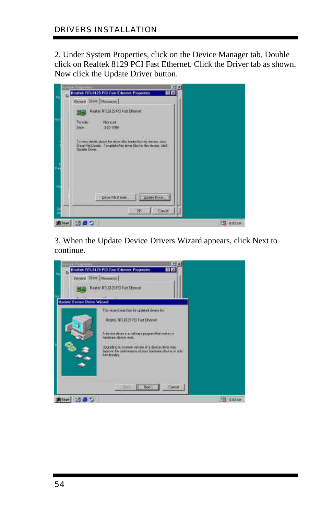2. Under System Properties, click on the Device Manager tab. Double click on Realtek 8129 PCI Fast Ethernet. Click the Driver tab as shown. Now click the Update Driver button.

|   | x  <br><b>THE R. P. LEWIS</b>                                                                                                   |              |
|---|---------------------------------------------------------------------------------------------------------------------------------|--------------|
| × | 日日<br>Realtot RTL8129 PCI Fast Ethemot Properties                                                                               |              |
|   | General DYPR   Fleaguages                                                                                                       |              |
|   | Rayle HTLEISPOTHMENemet<br>WORKING ALSO TAXABLE VIOLET CAR                                                                      |              |
|   | <b>Picvokr</b><br><b>Financed</b><br>4-22-1498<br>Date                                                                          |              |
|   | To year-details about the drive the loaded but the devoce, clek-<br>Down Fin Cetate. To update the down Meets this downs, click |              |
|   |                                                                                                                                 |              |
|   | Hotels Days<br><b>Drive Fig.Drive:</b>                                                                                          |              |
|   | Calcer<br>ъc                                                                                                                    |              |
|   |                                                                                                                                 | <b>B</b> REM |

3. When the Update Device Drivers Wizard appears, click Next to continue.

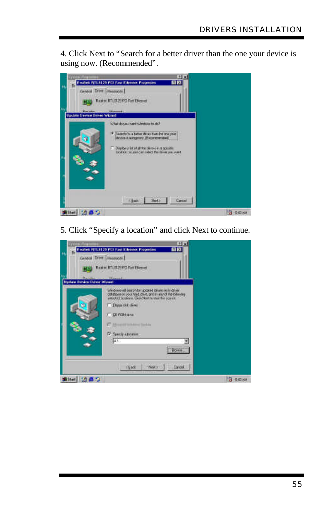4. Click Next to "Search for a better driver than the one your device is using now. (Recommended".



5. Click "Specify a location" and click Next to continue.

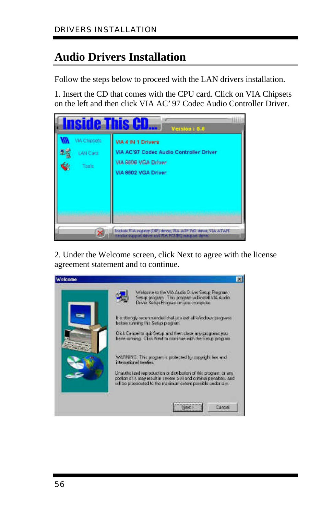# **Audio Drivers Installation**

Follow the steps below to proceed with the LAN drivers installation.

1. Insert the CD that comes with the CPU card. Click on VIA Chipsets on the left and then click VIA AC'97 Codec Audio Controller Driver.



2. Under the Welcome screen, click Next to agree with the license agreement statement and to continue.

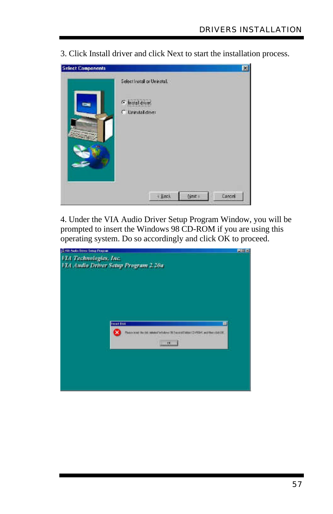3. Click Install driver and click Next to start the installation process.

| <b>Select Components</b> | Selectionsal or Uninstal            | 図      |
|--------------------------|-------------------------------------|--------|
| ▭                        | G Instal drived<br>C Uranital diver |        |
|                          | + Back<br>Nex:                      | Eangel |

4. Under the VIA Audio Driver Setup Program Window, you will be prompted to insert the Windows 98 CD-ROM if you are using this operating system. Do so accordingly and click OK to proceed.

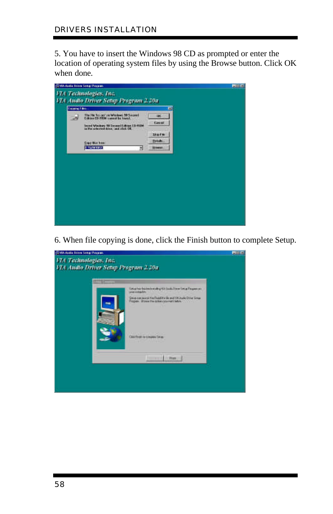5. You have to insert the Windows 98 CD as prompted or enter the location of operating system files by using the Browse button. Click OK when done.

| <b>EXAMINATION STATE PARTIES</b> |                                                                                                                                              | 医師日 |
|----------------------------------|----------------------------------------------------------------------------------------------------------------------------------------------|-----|
|                                  | 174 Technologies, Inc.<br>17A Andio Driver Setup Program 2.20a                                                                               |     |
| <b>Coloring Films</b>            |                                                                                                                                              | 圓   |
| -2                               | The File Trainer's in Mindows 38 Second.<br>Calcina CD/TTDs cannot be hard.<br>m.<br><b>Cancel</b><br>Inset Wedney 90 Second Library 12-9114 |     |
|                                  | <b>Skip File</b>                                                                                                                             |     |
|                                  | Drink.<br>Cray Mus box                                                                                                                       |     |
|                                  | <b>Material</b><br><b>Hillman</b><br>쁴                                                                                                       |     |
|                                  |                                                                                                                                              |     |
|                                  |                                                                                                                                              |     |
|                                  |                                                                                                                                              |     |
|                                  |                                                                                                                                              |     |
|                                  |                                                                                                                                              |     |

6. When file copying is done, click the Finish button to complete Setup.

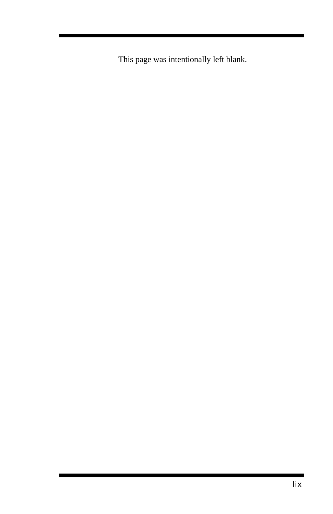This page was intentionally left blank.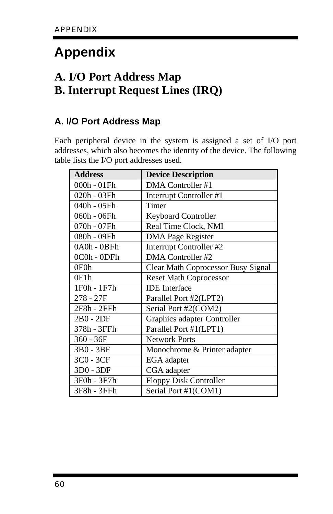# **Appendix**

# **A. I/O Port Address Map B. Interrupt Request Lines (IRQ)**

# **A. I/O Port Address Map**

Each peripheral device in the system is assigned a set of I/O port addresses, which also becomes the identity of the device. The following table lists the I/O port addresses used.

| <b>Address</b> | <b>Device Description</b>          |
|----------------|------------------------------------|
| $000h - 01Fh$  | DMA Controller #1                  |
| 020h - 03Fh    | Interrupt Controller #1            |
| 040h - 05Fh    | Timer                              |
| 060h - 06Fh    | <b>Keyboard Controller</b>         |
| 070h - 07Fh    | Real Time Clock, NMI               |
| 080h - 09Fh    | <b>DMA</b> Page Register           |
| 0A0h - 0BFh    | Interrupt Controller #2            |
| 0C0h - 0DFh    | DMA Controller #2                  |
| 0F0h           | Clear Math Coprocessor Busy Signal |
| 0F1h           | <b>Reset Math Coprocessor</b>      |
| 1F0h - 1F7h    | <b>IDE</b> Interface               |
| 278 - 27F      | Parallel Port #2(LPT2)             |
| 2F8h - 2FFh    | Serial Port #2(COM2)               |
| 2B0 - 2DF      | Graphics adapter Controller        |
| 378h - 3FFh    | Parallel Port #1(LPT1)             |
| $360 - 36F$    | <b>Network Ports</b>               |
| 3B0 - 3BF      | Monochrome & Printer adapter       |
| 3C0 - 3CF      | EGA adapter                        |
| 3D0 - 3DF      | CGA adapter                        |
| 3F0h - 3F7h    | <b>Floppy Disk Controller</b>      |
| 3F8h - 3FFh    | Serial Port #1(COM1)               |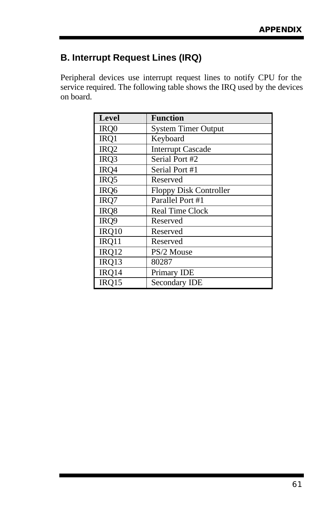# **B. Interrupt Request Lines (IRQ)**

Peripheral devices use interrupt request lines to notify CPU for the service required. The following table shows the IRQ used by the devices on board.

| Level            | <b>Function</b>               |
|------------------|-------------------------------|
| IRQ0             | <b>System Timer Output</b>    |
| IRQ1             | Keyboard                      |
| IRQ <sub>2</sub> | <b>Interrupt Cascade</b>      |
| IRQ3             | Serial Port #2                |
| IRQ4             | Serial Port #1                |
| IRQ5             | Reserved                      |
| IRQ6             | <b>Floppy Disk Controller</b> |
| IRQ7             | Parallel Port #1              |
| IRQ8             | Real Time Clock               |
| IRQ9             | Reserved                      |
| IRQ10            | Reserved                      |
| IRQ11            | Reserved                      |
| IRQ12            | PS/2 Mouse                    |
| IRQ13            | 80287                         |
| IRQ14            | Primary IDE                   |
| IRQ15            | Secondary IDE                 |